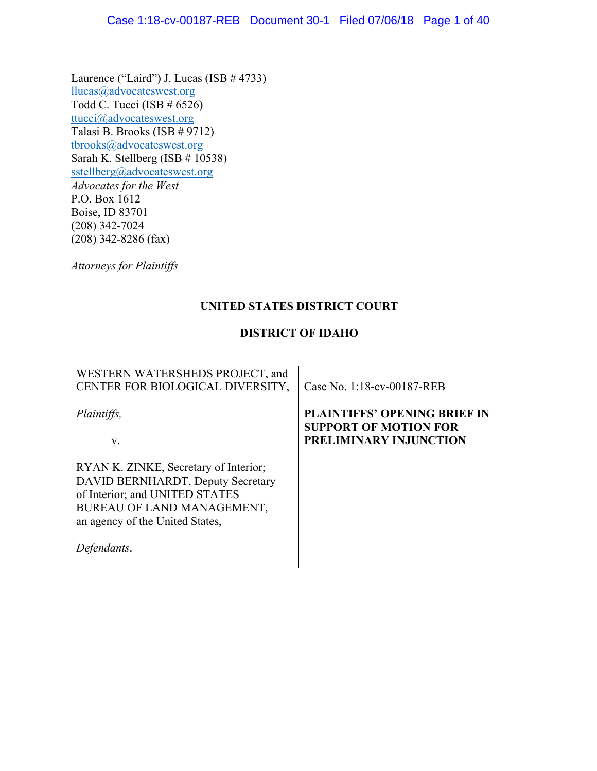Laurence ("Laird") J. Lucas (ISB # 4733) llucas@advocateswest.org Todd C. Tucci (ISB  $\# 6526$ ) ttucci@advocateswest.org Talasi B. Brooks (ISB # 9712) tbrooks@advocateswest.org Sarah K. Stellberg (ISB # 10538) sstellberg@advocateswest.org *Advocates for the West* P.O. Box 1612 Boise, ID 83701 (208) 342-7024 (208) 342-8286 (fax)

*Attorneys for Plaintiffs*

# **UNITED STATES DISTRICT COURT**

# **DISTRICT OF IDAHO**

| WESTERN WATERSHEDS PROJECT, and<br>CENTER FOR BIOLOGICAL DIVERSITY,                                                                                                                          | Case No. 1:18-cv-00187-REB                                                                    |
|----------------------------------------------------------------------------------------------------------------------------------------------------------------------------------------------|-----------------------------------------------------------------------------------------------|
| <i>Plaintiffs,</i><br>V.                                                                                                                                                                     | <b>PLAINTIFFS' OPENING BRIEF IN</b><br><b>SUPPORT OF MOTION FOR</b><br>PRELIMINARY INJUNCTION |
| RYAN K. ZINKE, Secretary of Interior;<br>DAVID BERNHARDT, Deputy Secretary<br>of Interior; and UNITED STATES<br>BUREAU OF LAND MANAGEMENT,<br>an agency of the United States,<br>Defendants. |                                                                                               |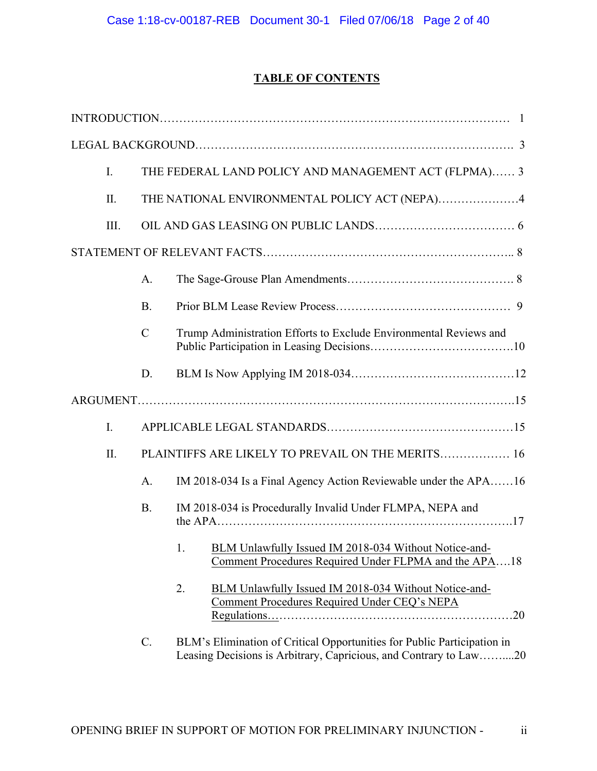# **TABLE OF CONTENTS**

| $I_{\cdot}$ |                | THE FEDERAL LAND POLICY AND MANAGEMENT ACT (FLPMA) 3 |                                                                                                                                              |  |  |
|-------------|----------------|------------------------------------------------------|----------------------------------------------------------------------------------------------------------------------------------------------|--|--|
| $\prod$     |                | THE NATIONAL ENVIRONMENTAL POLICY ACT (NEPA)4        |                                                                                                                                              |  |  |
| III.        |                |                                                      |                                                                                                                                              |  |  |
|             |                |                                                      |                                                                                                                                              |  |  |
|             | A.             |                                                      |                                                                                                                                              |  |  |
|             | <b>B.</b>      |                                                      |                                                                                                                                              |  |  |
|             | $\overline{C}$ |                                                      | Trump Administration Efforts to Exclude Environmental Reviews and                                                                            |  |  |
|             | D.             |                                                      |                                                                                                                                              |  |  |
|             |                |                                                      |                                                                                                                                              |  |  |
| $I_{\cdot}$ |                |                                                      |                                                                                                                                              |  |  |
| II.         |                |                                                      | PLAINTIFFS ARE LIKELY TO PREVAIL ON THE MERITS 16                                                                                            |  |  |
|             | A.             |                                                      | IM 2018-034 Is a Final Agency Action Reviewable under the APA16                                                                              |  |  |
|             | <b>B.</b>      |                                                      | IM 2018-034 is Procedurally Invalid Under FLMPA, NEPA and                                                                                    |  |  |
|             |                | 1.                                                   | BLM Unlawfully Issued IM 2018-034 Without Notice-and-<br>Comment Procedures Required Under FLPMA and the APA18                               |  |  |
|             |                | 2.                                                   | BLM Unlawfully Issued IM 2018-034 Without Notice-and-<br>Comment Procedures Required Under CEQ's NEPA                                        |  |  |
|             | $C$ .          |                                                      | BLM's Elimination of Critical Opportunities for Public Participation in<br>Leasing Decisions is Arbitrary, Capricious, and Contrary to Law20 |  |  |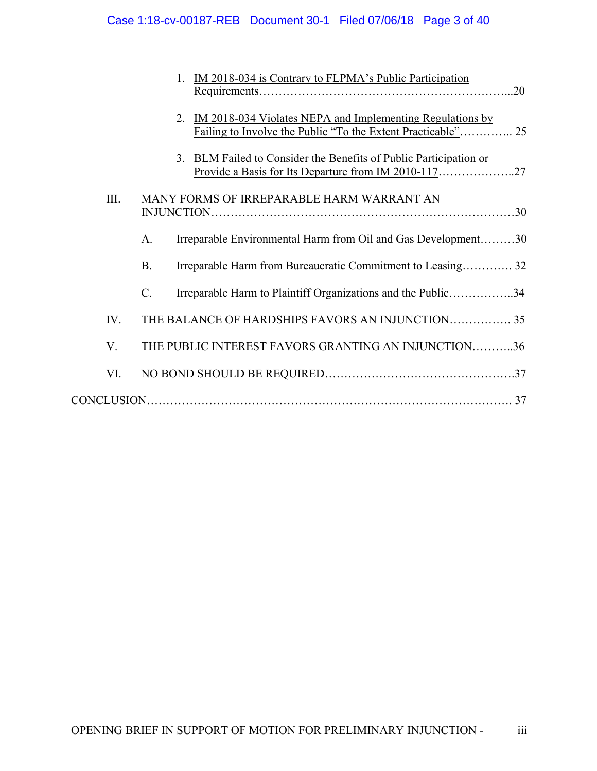|      |                 | 1. IM 2018-034 is Contrary to FLPMA's Public Participation                                                             |  |
|------|-----------------|------------------------------------------------------------------------------------------------------------------------|--|
|      |                 |                                                                                                                        |  |
|      | 2.              | IM 2018-034 Violates NEPA and Implementing Regulations by                                                              |  |
|      | 3.              | BLM Failed to Consider the Benefits of Public Participation or<br>Provide a Basis for Its Departure from IM 2010-11727 |  |
| III. |                 | MANY FORMS OF IRREPARABLE HARM WARRANT AN                                                                              |  |
|      | A.              | Irreparable Environmental Harm from Oil and Gas Development30                                                          |  |
|      | <b>B.</b>       | Irreparable Harm from Bureaucratic Commitment to Leasing 32                                                            |  |
|      | $\mathcal{C}$ . | Irreparable Harm to Plaintiff Organizations and the Public34                                                           |  |
| IV.  |                 | THE BALANCE OF HARDSHIPS FAVORS AN INJUNCTION 35                                                                       |  |
| V.   |                 | THE PUBLIC INTEREST FAVORS GRANTING AN INJUNCTION36                                                                    |  |
| VI.  |                 |                                                                                                                        |  |
|      |                 |                                                                                                                        |  |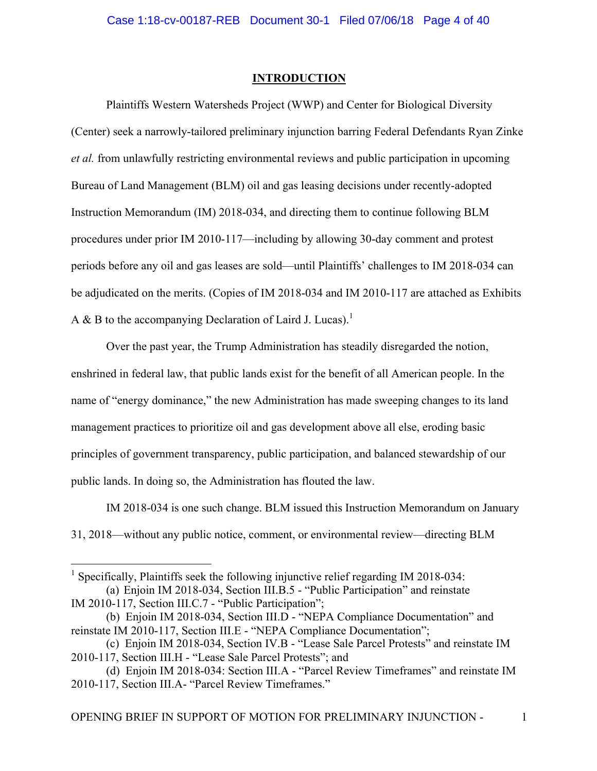## **INTRODUCTION**

Plaintiffs Western Watersheds Project (WWP) and Center for Biological Diversity (Center) seek a narrowly-tailored preliminary injunction barring Federal Defendants Ryan Zinke *et al.* from unlawfully restricting environmental reviews and public participation in upcoming Bureau of Land Management (BLM) oil and gas leasing decisions under recently-adopted Instruction Memorandum (IM) 2018-034, and directing them to continue following BLM procedures under prior IM 2010-117—including by allowing 30-day comment and protest periods before any oil and gas leases are sold—until Plaintiffs' challenges to IM 2018-034 can be adjudicated on the merits. (Copies of IM 2018-034 and IM 2010-117 are attached as Exhibits A & B to the accompanying Declaration of Laird J. Lucas).<sup>1</sup>

Over the past year, the Trump Administration has steadily disregarded the notion, enshrined in federal law, that public lands exist for the benefit of all American people. In the name of "energy dominance," the new Administration has made sweeping changes to its land management practices to prioritize oil and gas development above all else, eroding basic principles of government transparency, public participation, and balanced stewardship of our public lands. In doing so, the Administration has flouted the law.

IM 2018-034 is one such change. BLM issued this Instruction Memorandum on January 31, 2018—without any public notice, comment, or environmental review—directing BLM

<sup>&</sup>lt;sup>1</sup> Specifically, Plaintiffs seek the following injunctive relief regarding IM 2018-034: (a) Enjoin IM 2018-034, Section III.B.5 - "Public Participation" and reinstate IM 2010-117, Section III.C.7 - "Public Participation";

<sup>(</sup>b) Enjoin IM 2018-034, Section III.D - "NEPA Compliance Documentation" and reinstate IM 2010-117, Section III.E - "NEPA Compliance Documentation";

<sup>(</sup>c) Enjoin IM 2018-034, Section IV.B - "Lease Sale Parcel Protests" and reinstate IM 2010-117, Section III.H - "Lease Sale Parcel Protests"; and

<sup>(</sup>d) Enjoin IM 2018-034: Section III.A - "Parcel Review Timeframes" and reinstate IM 2010-117, Section III.A- "Parcel Review Timeframes."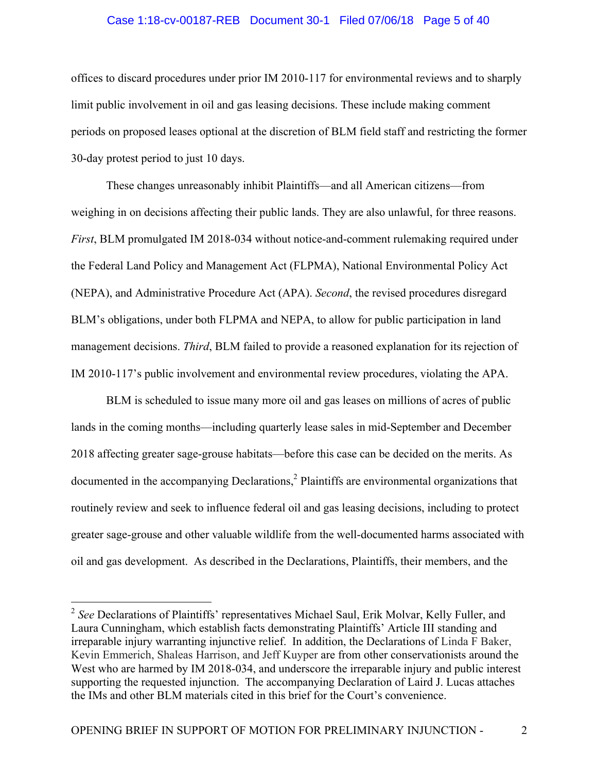### Case 1:18-cv-00187-REB Document 30-1 Filed 07/06/18 Page 5 of 40

offices to discard procedures under prior IM 2010-117 for environmental reviews and to sharply limit public involvement in oil and gas leasing decisions. These include making comment periods on proposed leases optional at the discretion of BLM field staff and restricting the former 30-day protest period to just 10 days.

These changes unreasonably inhibit Plaintiffs—and all American citizens—from weighing in on decisions affecting their public lands. They are also unlawful, for three reasons. *First*, BLM promulgated IM 2018-034 without notice-and-comment rulemaking required under the Federal Land Policy and Management Act (FLPMA), National Environmental Policy Act (NEPA), and Administrative Procedure Act (APA). *Second*, the revised procedures disregard BLM's obligations, under both FLPMA and NEPA, to allow for public participation in land management decisions. *Third*, BLM failed to provide a reasoned explanation for its rejection of IM 2010-117's public involvement and environmental review procedures, violating the APA.

BLM is scheduled to issue many more oil and gas leases on millions of acres of public lands in the coming months—including quarterly lease sales in mid-September and December 2018 affecting greater sage-grouse habitats—before this case can be decided on the merits. As documented in the accompanying Declarations,<sup>2</sup> Plaintiffs are environmental organizations that routinely review and seek to influence federal oil and gas leasing decisions, including to protect greater sage-grouse and other valuable wildlife from the well-documented harms associated with oil and gas development. As described in the Declarations, Plaintiffs, their members, and the

 <sup>2</sup> *See* Declarations of Plaintiffs' representatives Michael Saul, Erik Molvar, Kelly Fuller, and Laura Cunningham, which establish facts demonstrating Plaintiffs' Article III standing and irreparable injury warranting injunctive relief. In addition, the Declarations of Linda F Baker, Kevin Emmerich, Shaleas Harrison, and Jeff Kuyper are from other conservationists around the West who are harmed by IM 2018-034, and underscore the irreparable injury and public interest supporting the requested injunction. The accompanying Declaration of Laird J. Lucas attaches the IMs and other BLM materials cited in this brief for the Court's convenience.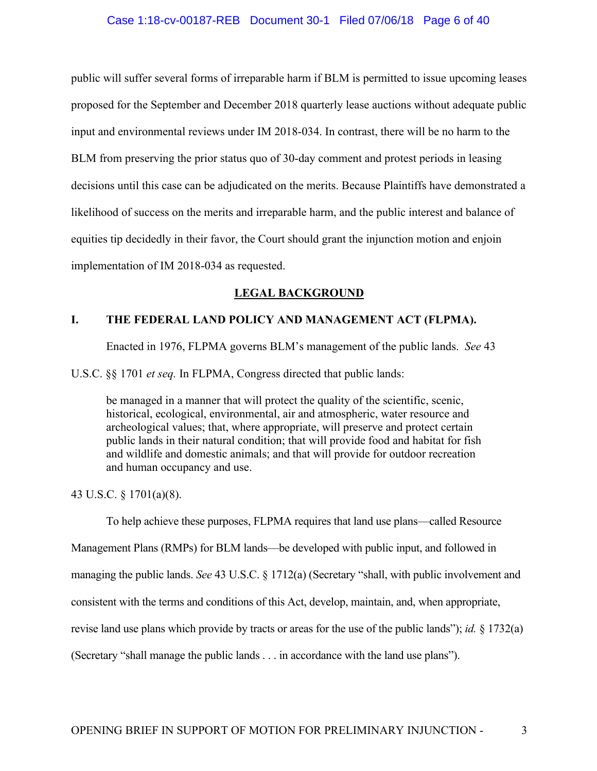## Case 1:18-cv-00187-REB Document 30-1 Filed 07/06/18 Page 6 of 40

public will suffer several forms of irreparable harm if BLM is permitted to issue upcoming leases proposed for the September and December 2018 quarterly lease auctions without adequate public input and environmental reviews under IM 2018-034. In contrast, there will be no harm to the BLM from preserving the prior status quo of 30-day comment and protest periods in leasing decisions until this case can be adjudicated on the merits. Because Plaintiffs have demonstrated a likelihood of success on the merits and irreparable harm, and the public interest and balance of equities tip decidedly in their favor, the Court should grant the injunction motion and enjoin implementation of IM 2018-034 as requested.

# **LEGAL BACKGROUND**

# **I. THE FEDERAL LAND POLICY AND MANAGEMENT ACT (FLPMA).**

Enacted in 1976, FLPMA governs BLM's management of the public lands. *See* 43

U.S.C. §§ 1701 *et seq.* In FLPMA, Congress directed that public lands:

be managed in a manner that will protect the quality of the scientific, scenic, historical, ecological, environmental, air and atmospheric, water resource and archeological values; that, where appropriate, will preserve and protect certain public lands in their natural condition; that will provide food and habitat for fish and wildlife and domestic animals; and that will provide for outdoor recreation and human occupancy and use.

43 U.S.C. § 1701(a)(8).

To help achieve these purposes, FLPMA requires that land use plans—called Resource Management Plans (RMPs) for BLM lands—be developed with public input, and followed in managing the public lands. *See* 43 U.S.C. § 1712(a) (Secretary "shall, with public involvement and consistent with the terms and conditions of this Act, develop, maintain, and, when appropriate, revise land use plans which provide by tracts or areas for the use of the public lands"); *id.* § 1732(a) (Secretary "shall manage the public lands . . . in accordance with the land use plans").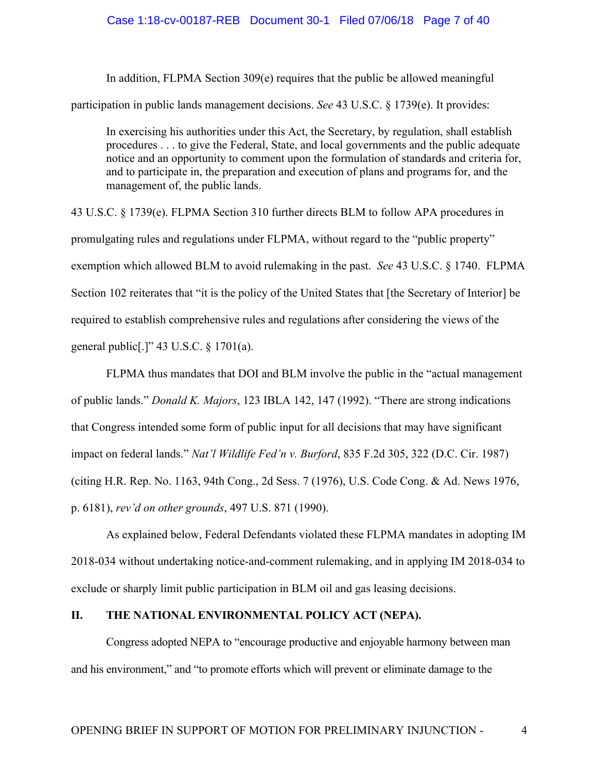### Case 1:18-cv-00187-REB Document 30-1 Filed 07/06/18 Page 7 of 40

In addition, FLPMA Section 309(e) requires that the public be allowed meaningful participation in public lands management decisions. *See* 43 U.S.C. § 1739(e). It provides:

In exercising his authorities under this Act, the Secretary, by regulation, shall establish procedures . . . to give the Federal, State, and local governments and the public adequate notice and an opportunity to comment upon the formulation of standards and criteria for, and to participate in, the preparation and execution of plans and programs for, and the management of, the public lands.

43 U.S.C. § 1739(e). FLPMA Section 310 further directs BLM to follow APA procedures in promulgating rules and regulations under FLPMA, without regard to the "public property" exemption which allowed BLM to avoid rulemaking in the past. *See* 43 U.S.C. § 1740. FLPMA Section 102 reiterates that "it is the policy of the United States that [the Secretary of Interior] be required to establish comprehensive rules and regulations after considering the views of the general public[.]" 43 U.S.C. § 1701(a).

FLPMA thus mandates that DOI and BLM involve the public in the "actual management of public lands." *Donald K. Majors*, 123 IBLA 142, 147 (1992). "There are strong indications that Congress intended some form of public input for all decisions that may have significant impact on federal lands." *Nat'l Wildlife Fed'n v. Burford*, 835 F.2d 305, 322 (D.C. Cir. 1987) (citing H.R. Rep. No. 1163, 94th Cong., 2d Sess. 7 (1976), U.S. Code Cong. & Ad. News 1976, p. 6181), *rev'd on other grounds*, 497 U.S. 871 (1990).

As explained below, Federal Defendants violated these FLPMA mandates in adopting IM 2018-034 without undertaking notice-and-comment rulemaking, and in applying IM 2018-034 to exclude or sharply limit public participation in BLM oil and gas leasing decisions.

## **II. THE NATIONAL ENVIRONMENTAL POLICY ACT (NEPA).**

Congress adopted NEPA to "encourage productive and enjoyable harmony between man and his environment," and "to promote efforts which will prevent or eliminate damage to the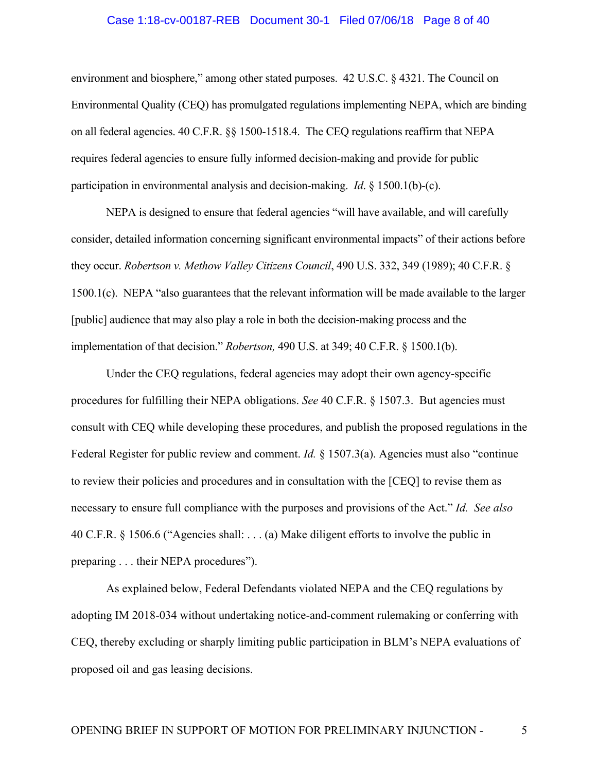# Case 1:18-cv-00187-REB Document 30-1 Filed 07/06/18 Page 8 of 40

environment and biosphere," among other stated purposes. 42 U.S.C. § 4321. The Council on Environmental Quality (CEQ) has promulgated regulations implementing NEPA, which are binding on all federal agencies. 40 C.F.R. §§ 1500-1518.4. The CEQ regulations reaffirm that NEPA requires federal agencies to ensure fully informed decision-making and provide for public participation in environmental analysis and decision-making. *Id*. § 1500.1(b)-(c).

NEPA is designed to ensure that federal agencies "will have available, and will carefully consider, detailed information concerning significant environmental impacts" of their actions before they occur. *Robertson v. Methow Valley Citizens Council*, 490 U.S. 332, 349 (1989); 40 C.F.R. § 1500.1(c). NEPA "also guarantees that the relevant information will be made available to the larger [public] audience that may also play a role in both the decision-making process and the implementation of that decision." *Robertson,* 490 U.S. at 349; 40 C.F.R. § 1500.1(b).

Under the CEQ regulations, federal agencies may adopt their own agency-specific procedures for fulfilling their NEPA obligations. *See* 40 C.F.R. § 1507.3. But agencies must consult with CEQ while developing these procedures, and publish the proposed regulations in the Federal Register for public review and comment. *Id.* § 1507.3(a). Agencies must also "continue to review their policies and procedures and in consultation with the [CEQ] to revise them as necessary to ensure full compliance with the purposes and provisions of the Act." *Id. See also* 40 C.F.R. § 1506.6 ("Agencies shall: . . . (a) Make diligent efforts to involve the public in preparing . . . their NEPA procedures").

As explained below, Federal Defendants violated NEPA and the CEQ regulations by adopting IM 2018-034 without undertaking notice-and-comment rulemaking or conferring with CEQ, thereby excluding or sharply limiting public participation in BLM's NEPA evaluations of proposed oil and gas leasing decisions.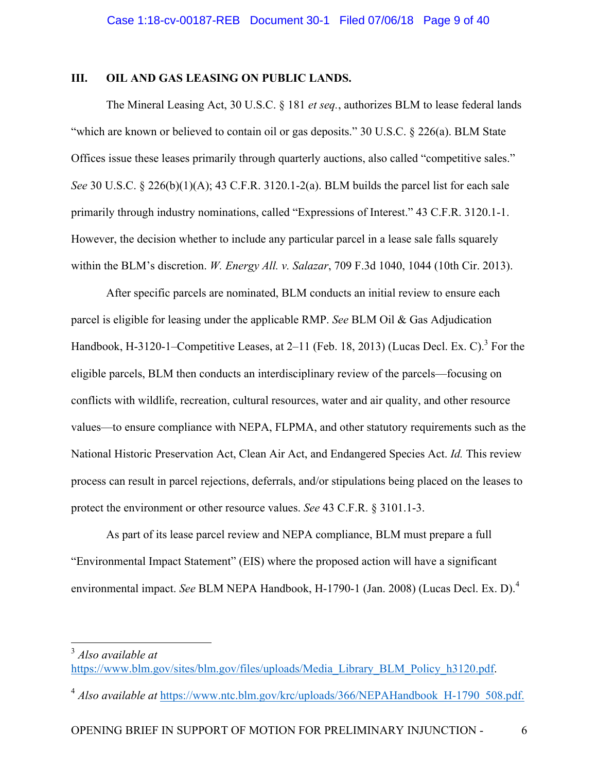## **III. OIL AND GAS LEASING ON PUBLIC LANDS.**

The Mineral Leasing Act, 30 U.S.C. § 181 *et seq.*, authorizes BLM to lease federal lands "which are known or believed to contain oil or gas deposits." 30 U.S.C. § 226(a). BLM State Offices issue these leases primarily through quarterly auctions, also called "competitive sales." *See* 30 U.S.C. § 226(b)(1)(A); 43 C.F.R. 3120.1-2(a). BLM builds the parcel list for each sale primarily through industry nominations, called "Expressions of Interest." 43 C.F.R. 3120.1-1. However, the decision whether to include any particular parcel in a lease sale falls squarely within the BLM's discretion. *W. Energy All. v. Salazar*, 709 F.3d 1040, 1044 (10th Cir. 2013).

After specific parcels are nominated, BLM conducts an initial review to ensure each parcel is eligible for leasing under the applicable RMP. *See* BLM Oil & Gas Adjudication Handbook, H-3120-1–Competitive Leases, at 2–11 (Feb. 18, 2013) (Lucas Decl. Ex. C).<sup>3</sup> For the eligible parcels, BLM then conducts an interdisciplinary review of the parcels—focusing on conflicts with wildlife, recreation, cultural resources, water and air quality, and other resource values—to ensure compliance with NEPA, FLPMA, and other statutory requirements such as the National Historic Preservation Act, Clean Air Act, and Endangered Species Act. *Id.* This review process can result in parcel rejections, deferrals, and/or stipulations being placed on the leases to protect the environment or other resource values. *See* 43 C.F.R. § 3101.1-3.

As part of its lease parcel review and NEPA compliance, BLM must prepare a full "Environmental Impact Statement" (EIS) where the proposed action will have a significant environmental impact. *See* BLM NEPA Handbook, H-1790-1 (Jan. 2008) (Lucas Decl. Ex. D). 4

 <sup>3</sup> *Also available at* https://www.blm.gov/sites/blm.gov/files/uploads/Media\_Library\_BLM\_Policy\_h3120.pdf.

<sup>&</sup>lt;sup>4</sup> *Also available at* https://www.ntc.blm.gov/krc/uploads/366/NEPAHandbook H-1790 508.pdf.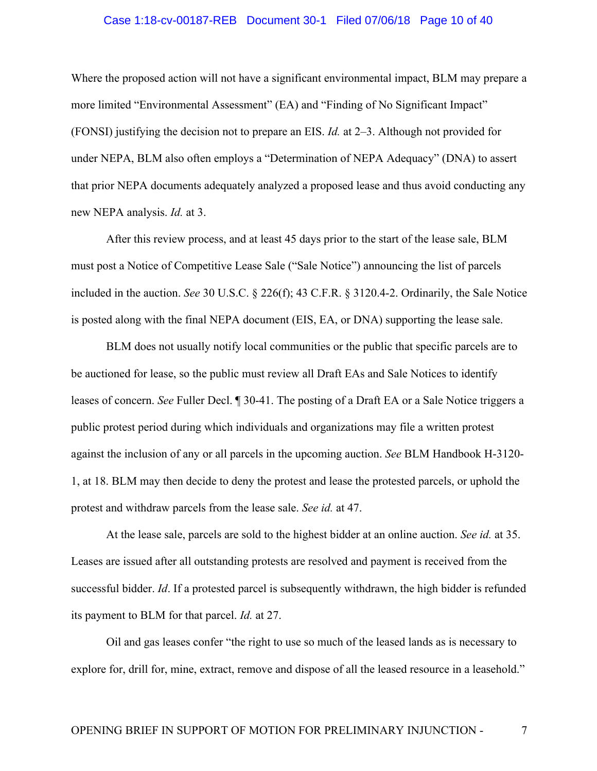# Case 1:18-cv-00187-REB Document 30-1 Filed 07/06/18 Page 10 of 40

Where the proposed action will not have a significant environmental impact, BLM may prepare a more limited "Environmental Assessment" (EA) and "Finding of No Significant Impact" (FONSI) justifying the decision not to prepare an EIS. *Id.* at 2–3. Although not provided for under NEPA, BLM also often employs a "Determination of NEPA Adequacy" (DNA) to assert that prior NEPA documents adequately analyzed a proposed lease and thus avoid conducting any new NEPA analysis. *Id.* at 3.

After this review process, and at least 45 days prior to the start of the lease sale, BLM must post a Notice of Competitive Lease Sale ("Sale Notice") announcing the list of parcels included in the auction. *See* 30 U.S.C. § 226(f); 43 C.F.R. § 3120.4-2. Ordinarily, the Sale Notice is posted along with the final NEPA document (EIS, EA, or DNA) supporting the lease sale.

BLM does not usually notify local communities or the public that specific parcels are to be auctioned for lease, so the public must review all Draft EAs and Sale Notices to identify leases of concern. *See* Fuller Decl. ¶ 30-41. The posting of a Draft EA or a Sale Notice triggers a public protest period during which individuals and organizations may file a written protest against the inclusion of any or all parcels in the upcoming auction. *See* BLM Handbook H-3120- 1, at 18. BLM may then decide to deny the protest and lease the protested parcels, or uphold the protest and withdraw parcels from the lease sale. *See id.* at 47.

At the lease sale, parcels are sold to the highest bidder at an online auction. *See id.* at 35. Leases are issued after all outstanding protests are resolved and payment is received from the successful bidder. *Id*. If a protested parcel is subsequently withdrawn, the high bidder is refunded its payment to BLM for that parcel. *Id.* at 27.

Oil and gas leases confer "the right to use so much of the leased lands as is necessary to explore for, drill for, mine, extract, remove and dispose of all the leased resource in a leasehold."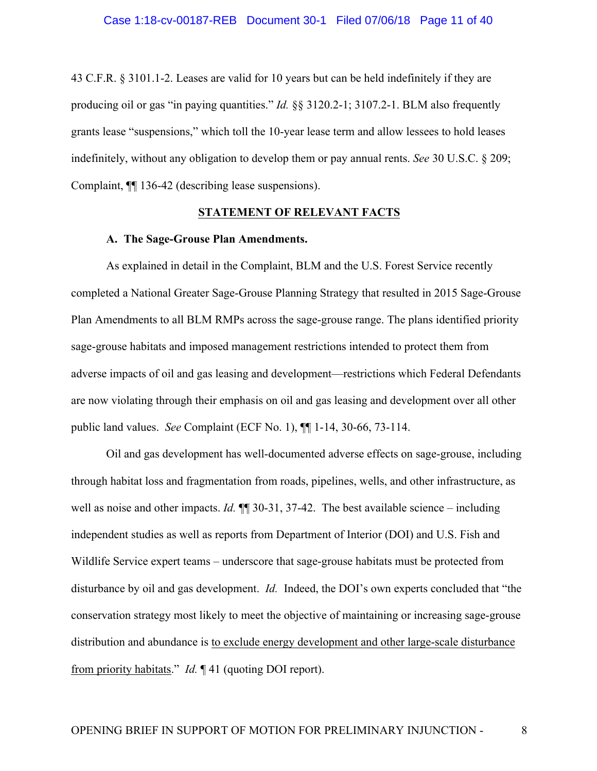43 C.F.R. § 3101.1-2. Leases are valid for 10 years but can be held indefinitely if they are producing oil or gas "in paying quantities." *Id.* §§ 3120.2-1; 3107.2-1. BLM also frequently grants lease "suspensions," which toll the 10-year lease term and allow lessees to hold leases indefinitely, without any obligation to develop them or pay annual rents. *See* 30 U.S.C. § 209; Complaint, ¶¶ 136-42 (describing lease suspensions).

## **STATEMENT OF RELEVANT FACTS**

### **A. The Sage-Grouse Plan Amendments.**

As explained in detail in the Complaint, BLM and the U.S. Forest Service recently completed a National Greater Sage-Grouse Planning Strategy that resulted in 2015 Sage-Grouse Plan Amendments to all BLM RMPs across the sage-grouse range. The plans identified priority sage-grouse habitats and imposed management restrictions intended to protect them from adverse impacts of oil and gas leasing and development—restrictions which Federal Defendants are now violating through their emphasis on oil and gas leasing and development over all other public land values. *See* Complaint (ECF No. 1), ¶¶ 1-14, 30-66, 73-114.

Oil and gas development has well-documented adverse effects on sage-grouse, including through habitat loss and fragmentation from roads, pipelines, wells, and other infrastructure, as well as noise and other impacts. *Id.*  $\P$  30-31, 37-42. The best available science – including independent studies as well as reports from Department of Interior (DOI) and U.S. Fish and Wildlife Service expert teams – underscore that sage-grouse habitats must be protected from disturbance by oil and gas development. *Id.* Indeed, the DOI's own experts concluded that "the conservation strategy most likely to meet the objective of maintaining or increasing sage-grouse distribution and abundance is to exclude energy development and other large-scale disturbance from priority habitats." *Id.* ¶ 41 (quoting DOI report).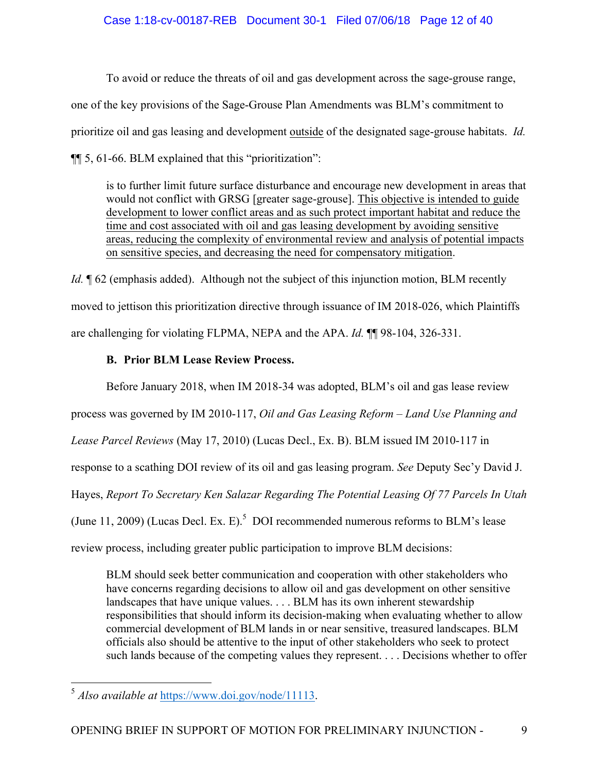# Case 1:18-cv-00187-REB Document 30-1 Filed 07/06/18 Page 12 of 40

To avoid or reduce the threats of oil and gas development across the sage-grouse range, one of the key provisions of the Sage-Grouse Plan Amendments was BLM's commitment to prioritize oil and gas leasing and development outside of the designated sage-grouse habitats. *Id.* ¶¶ 5, 61-66. BLM explained that this "prioritization":

is to further limit future surface disturbance and encourage new development in areas that would not conflict with GRSG [greater sage-grouse]. This objective is intended to guide development to lower conflict areas and as such protect important habitat and reduce the time and cost associated with oil and gas leasing development by avoiding sensitive areas, reducing the complexity of environmental review and analysis of potential impacts on sensitive species, and decreasing the need for compensatory mitigation.

*Id.*  $\phi$  62 (emphasis added). Although not the subject of this injunction motion, BLM recently moved to jettison this prioritization directive through issuance of IM 2018-026, which Plaintiffs are challenging for violating FLPMA, NEPA and the APA. *Id.* ¶¶ 98-104, 326-331.

# **B. Prior BLM Lease Review Process.**

Before January 2018, when IM 2018-34 was adopted, BLM's oil and gas lease review process was governed by IM 2010-117, *Oil and Gas Leasing Reform – Land Use Planning and Lease Parcel Reviews* (May 17, 2010) (Lucas Decl., Ex. B). BLM issued IM 2010-117 in response to a scathing DOI review of its oil and gas leasing program. *See* Deputy Sec'y David J. Hayes, *Report To Secretary Ken Salazar Regarding The Potential Leasing Of 77 Parcels In Utah* (June 11, 2009) (Lucas Decl. Ex. E).<sup>5</sup> DOI recommended numerous reforms to BLM's lease review process, including greater public participation to improve BLM decisions:

BLM should seek better communication and cooperation with other stakeholders who have concerns regarding decisions to allow oil and gas development on other sensitive landscapes that have unique values. . . . BLM has its own inherent stewardship responsibilities that should inform its decision-making when evaluating whether to allow commercial development of BLM lands in or near sensitive, treasured landscapes. BLM officials also should be attentive to the input of other stakeholders who seek to protect such lands because of the competing values they represent. . . . Decisions whether to offer

 <sup>5</sup> *Also available at* https://www.doi.gov/node/11113.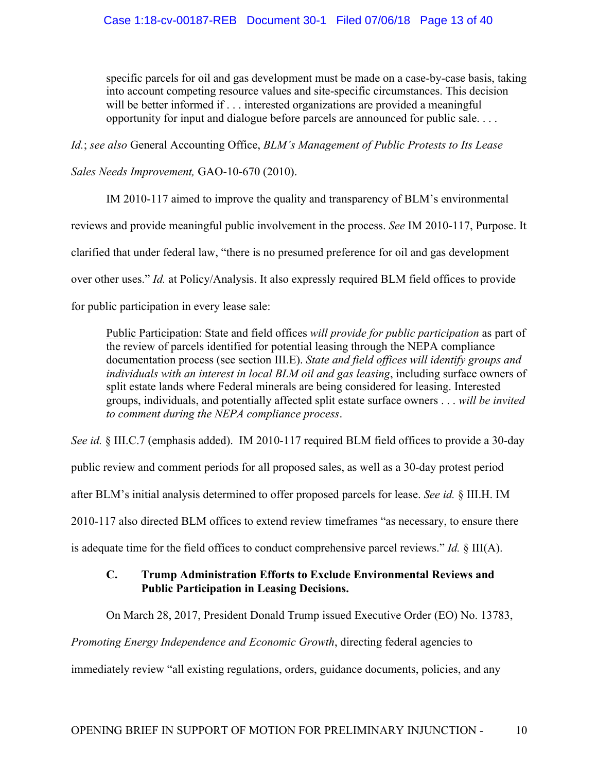specific parcels for oil and gas development must be made on a case-by-case basis, taking into account competing resource values and site-specific circumstances. This decision will be better informed if . . . interested organizations are provided a meaningful opportunity for input and dialogue before parcels are announced for public sale. . . .

*Id.*; *see also* General Accounting Office, *BLM's Management of Public Protests to Its Lease* 

*Sales Needs Improvement,* GAO-10-670 (2010).

IM 2010-117 aimed to improve the quality and transparency of BLM's environmental reviews and provide meaningful public involvement in the process. *See* IM 2010-117, Purpose. It clarified that under federal law, "there is no presumed preference for oil and gas development over other uses." *Id.* at Policy/Analysis. It also expressly required BLM field offices to provide for public participation in every lease sale:

Public Participation: State and field offices *will provide for public participation* as part of the review of parcels identified for potential leasing through the NEPA compliance documentation process (see section III.E). *State and field offices will identify groups and individuals with an interest in local BLM oil and gas leasing*, including surface owners of split estate lands where Federal minerals are being considered for leasing. Interested groups, individuals, and potentially affected split estate surface owners . . . *will be invited to comment during the NEPA compliance process*.

*See id.* § III.C.7 (emphasis added). IM 2010-117 required BLM field offices to provide a 30-day

public review and comment periods for all proposed sales, as well as a 30-day protest period

after BLM's initial analysis determined to offer proposed parcels for lease. *See id.* § III.H. IM

2010-117 also directed BLM offices to extend review timeframes "as necessary, to ensure there

is adequate time for the field offices to conduct comprehensive parcel reviews." *Id.* § III(A).

# **C. Trump Administration Efforts to Exclude Environmental Reviews and Public Participation in Leasing Decisions.**

On March 28, 2017, President Donald Trump issued Executive Order (EO) No. 13783,

*Promoting Energy Independence and Economic Growth*, directing federal agencies to

immediately review "all existing regulations, orders, guidance documents, policies, and any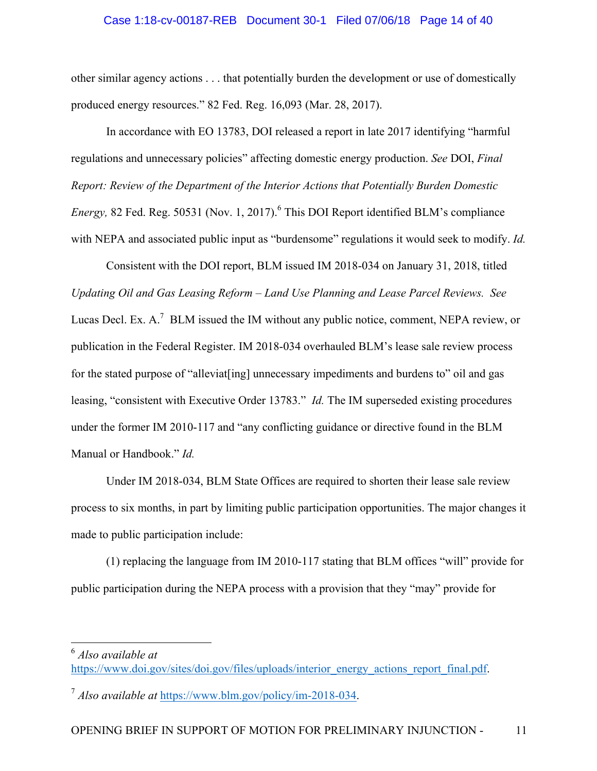### Case 1:18-cv-00187-REB Document 30-1 Filed 07/06/18 Page 14 of 40

other similar agency actions . . . that potentially burden the development or use of domestically produced energy resources." 82 Fed. Reg. 16,093 (Mar. 28, 2017).

In accordance with EO 13783, DOI released a report in late 2017 identifying "harmful regulations and unnecessary policies" affecting domestic energy production. *See* DOI, *Final Report: Review of the Department of the Interior Actions that Potentially Burden Domestic Energy,* 82 Fed. Reg. 50531 (Nov. 1, 2017). <sup>6</sup> This DOI Report identified BLM's compliance with NEPA and associated public input as "burdensome" regulations it would seek to modify. *Id.*

Consistent with the DOI report, BLM issued IM 2018-034 on January 31, 2018, titled *Updating Oil and Gas Leasing Reform – Land Use Planning and Lease Parcel Reviews. See*  Lucas Decl. Ex. A.<sup>7</sup> BLM issued the IM without any public notice, comment, NEPA review, or publication in the Federal Register. IM 2018-034 overhauled BLM's lease sale review process for the stated purpose of "alleviat[ing] unnecessary impediments and burdens to" oil and gas leasing, "consistent with Executive Order 13783." *Id.* The IM superseded existing procedures under the former IM 2010-117 and "any conflicting guidance or directive found in the BLM Manual or Handbook." *Id.*

Under IM 2018-034, BLM State Offices are required to shorten their lease sale review process to six months, in part by limiting public participation opportunities. The major changes it made to public participation include:

(1) replacing the language from IM 2010-117 stating that BLM offices "will" provide for public participation during the NEPA process with a provision that they "may" provide for

 <sup>6</sup> *Also available at* https://www.doi.gov/sites/doi.gov/files/uploads/interior\_energy\_actions\_report\_final.pdf.

<sup>7</sup> *Also available at* https://www.blm.gov/policy/im-2018-034.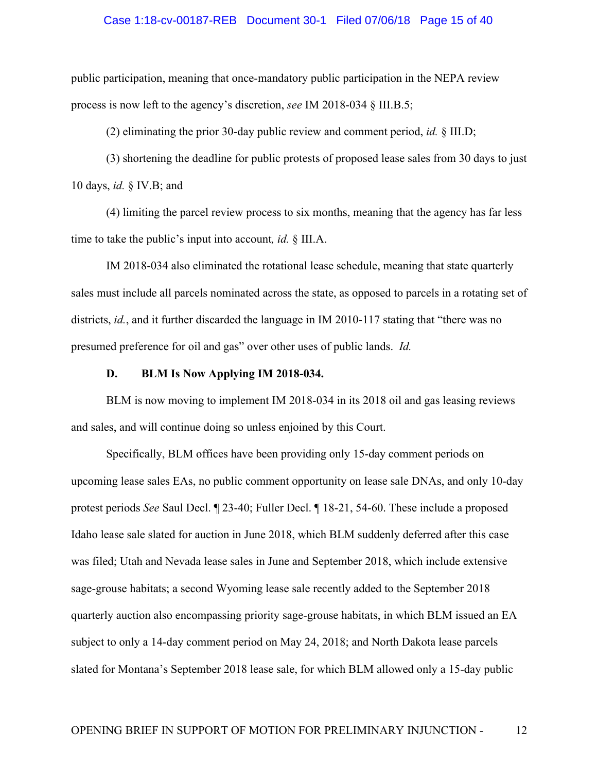# Case 1:18-cv-00187-REB Document 30-1 Filed 07/06/18 Page 15 of 40

public participation, meaning that once-mandatory public participation in the NEPA review process is now left to the agency's discretion, *see* IM 2018-034 § III.B.5;

(2) eliminating the prior 30-day public review and comment period, *id.* § III.D;

(3) shortening the deadline for public protests of proposed lease sales from 30 days to just 10 days, *id.* § IV.B; and

(4) limiting the parcel review process to six months, meaning that the agency has far less time to take the public's input into account*, id.* § III.A.

IM 2018-034 also eliminated the rotational lease schedule, meaning that state quarterly sales must include all parcels nominated across the state, as opposed to parcels in a rotating set of districts, *id.*, and it further discarded the language in IM 2010-117 stating that "there was no presumed preference for oil and gas" over other uses of public lands. *Id.*

## **D. BLM Is Now Applying IM 2018-034.**

BLM is now moving to implement IM 2018-034 in its 2018 oil and gas leasing reviews and sales, and will continue doing so unless enjoined by this Court.

Specifically, BLM offices have been providing only 15-day comment periods on upcoming lease sales EAs, no public comment opportunity on lease sale DNAs, and only 10-day protest periods *See* Saul Decl. ¶ 23-40; Fuller Decl. ¶ 18-21, 54-60. These include a proposed Idaho lease sale slated for auction in June 2018, which BLM suddenly deferred after this case was filed; Utah and Nevada lease sales in June and September 2018, which include extensive sage-grouse habitats; a second Wyoming lease sale recently added to the September 2018 quarterly auction also encompassing priority sage-grouse habitats, in which BLM issued an EA subject to only a 14-day comment period on May 24, 2018; and North Dakota lease parcels slated for Montana's September 2018 lease sale, for which BLM allowed only a 15-day public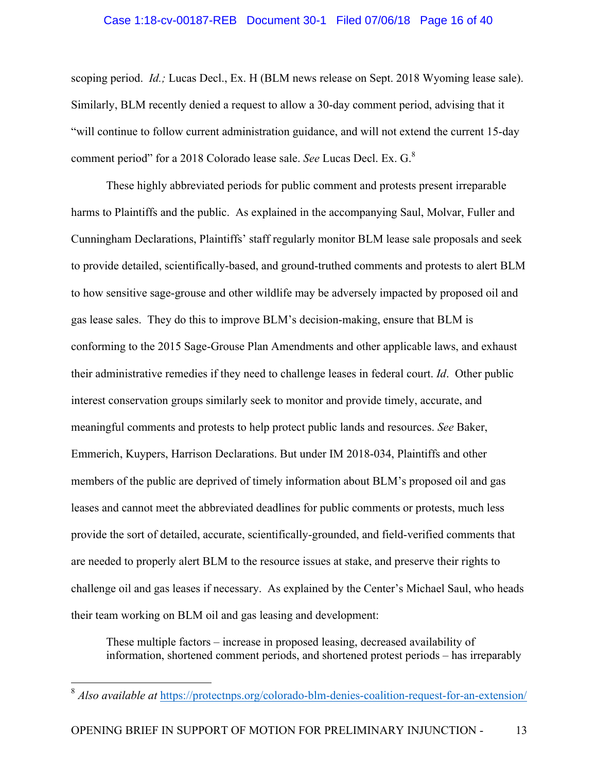### Case 1:18-cv-00187-REB Document 30-1 Filed 07/06/18 Page 16 of 40

scoping period. *Id.;* Lucas Decl., Ex. H (BLM news release on Sept. 2018 Wyoming lease sale). Similarly, BLM recently denied a request to allow a 30-day comment period, advising that it "will continue to follow current administration guidance, and will not extend the current 15-day comment period" for a 2018 Colorado lease sale. *See* Lucas Decl. Ex. G. 8

These highly abbreviated periods for public comment and protests present irreparable harms to Plaintiffs and the public. As explained in the accompanying Saul, Molvar, Fuller and Cunningham Declarations, Plaintiffs' staff regularly monitor BLM lease sale proposals and seek to provide detailed, scientifically-based, and ground-truthed comments and protests to alert BLM to how sensitive sage-grouse and other wildlife may be adversely impacted by proposed oil and gas lease sales. They do this to improve BLM's decision-making, ensure that BLM is conforming to the 2015 Sage-Grouse Plan Amendments and other applicable laws, and exhaust their administrative remedies if they need to challenge leases in federal court. *Id*. Other public interest conservation groups similarly seek to monitor and provide timely, accurate, and meaningful comments and protests to help protect public lands and resources. *See* Baker, Emmerich, Kuypers, Harrison Declarations. But under IM 2018-034, Plaintiffs and other members of the public are deprived of timely information about BLM's proposed oil and gas leases and cannot meet the abbreviated deadlines for public comments or protests, much less provide the sort of detailed, accurate, scientifically-grounded, and field-verified comments that are needed to properly alert BLM to the resource issues at stake, and preserve their rights to challenge oil and gas leases if necessary. As explained by the Center's Michael Saul, who heads their team working on BLM oil and gas leasing and development:

These multiple factors – increase in proposed leasing, decreased availability of information, shortened comment periods, and shortened protest periods – has irreparably

 <sup>8</sup> *Also available at* https://protectnps.org/colorado-blm-denies-coalition-request-for-an-extension/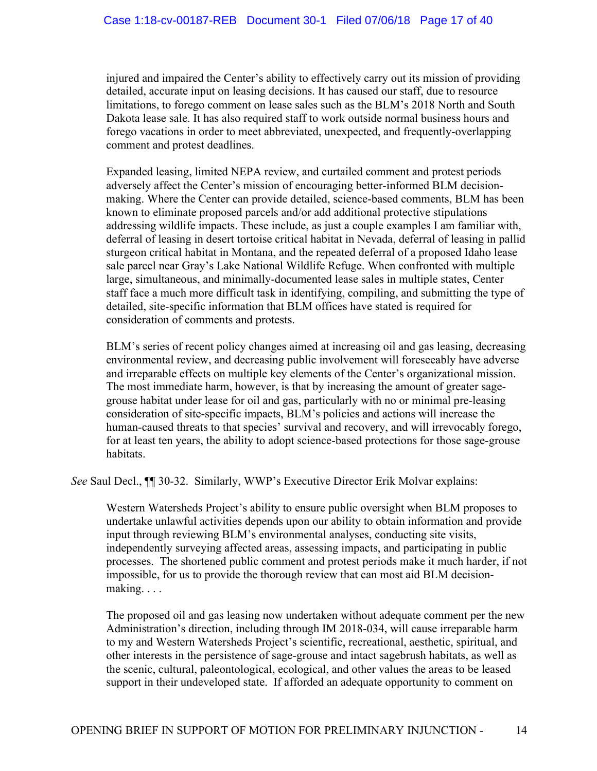injured and impaired the Center's ability to effectively carry out its mission of providing detailed, accurate input on leasing decisions. It has caused our staff, due to resource limitations, to forego comment on lease sales such as the BLM's 2018 North and South Dakota lease sale. It has also required staff to work outside normal business hours and forego vacations in order to meet abbreviated, unexpected, and frequently-overlapping comment and protest deadlines.

Expanded leasing, limited NEPA review, and curtailed comment and protest periods adversely affect the Center's mission of encouraging better-informed BLM decisionmaking. Where the Center can provide detailed, science-based comments, BLM has been known to eliminate proposed parcels and/or add additional protective stipulations addressing wildlife impacts. These include, as just a couple examples I am familiar with, deferral of leasing in desert tortoise critical habitat in Nevada, deferral of leasing in pallid sturgeon critical habitat in Montana, and the repeated deferral of a proposed Idaho lease sale parcel near Gray's Lake National Wildlife Refuge. When confronted with multiple large, simultaneous, and minimally-documented lease sales in multiple states, Center staff face a much more difficult task in identifying, compiling, and submitting the type of detailed, site-specific information that BLM offices have stated is required for consideration of comments and protests.

BLM's series of recent policy changes aimed at increasing oil and gas leasing, decreasing environmental review, and decreasing public involvement will foreseeably have adverse and irreparable effects on multiple key elements of the Center's organizational mission. The most immediate harm, however, is that by increasing the amount of greater sagegrouse habitat under lease for oil and gas, particularly with no or minimal pre-leasing consideration of site-specific impacts, BLM's policies and actions will increase the human-caused threats to that species' survival and recovery, and will irrevocably forego, for at least ten years, the ability to adopt science-based protections for those sage-grouse habitats.

*See* Saul Decl.,  $\P$  30-32. Similarly, WWP's Executive Director Erik Molvar explains:

Western Watersheds Project's ability to ensure public oversight when BLM proposes to undertake unlawful activities depends upon our ability to obtain information and provide input through reviewing BLM's environmental analyses, conducting site visits, independently surveying affected areas, assessing impacts, and participating in public processes. The shortened public comment and protest periods make it much harder, if not impossible, for us to provide the thorough review that can most aid BLM decisionmaking. . . .

The proposed oil and gas leasing now undertaken without adequate comment per the new Administration's direction, including through IM 2018-034, will cause irreparable harm to my and Western Watersheds Project's scientific, recreational, aesthetic, spiritual, and other interests in the persistence of sage-grouse and intact sagebrush habitats, as well as the scenic, cultural, paleontological, ecological, and other values the areas to be leased support in their undeveloped state. If afforded an adequate opportunity to comment on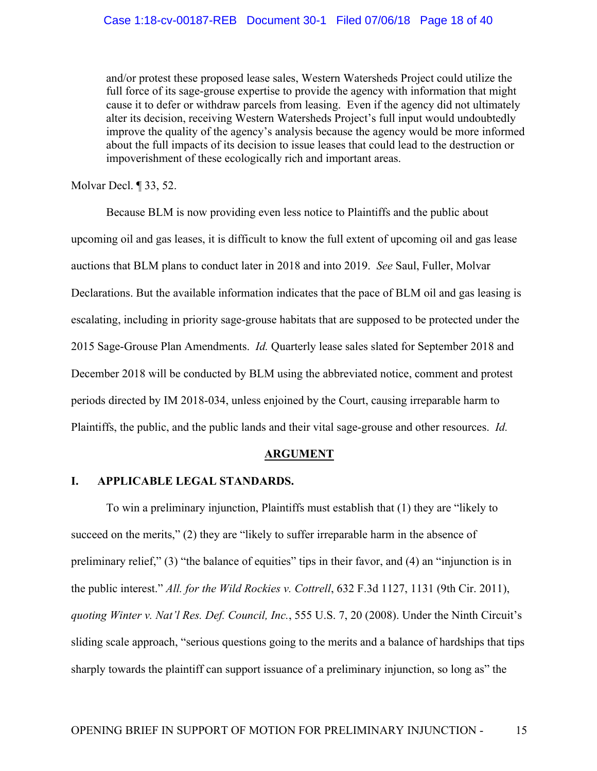and/or protest these proposed lease sales, Western Watersheds Project could utilize the full force of its sage-grouse expertise to provide the agency with information that might cause it to defer or withdraw parcels from leasing. Even if the agency did not ultimately alter its decision, receiving Western Watersheds Project's full input would undoubtedly improve the quality of the agency's analysis because the agency would be more informed about the full impacts of its decision to issue leases that could lead to the destruction or impoverishment of these ecologically rich and important areas.

Molvar Decl. ¶ 33, 52.

Because BLM is now providing even less notice to Plaintiffs and the public about upcoming oil and gas leases, it is difficult to know the full extent of upcoming oil and gas lease auctions that BLM plans to conduct later in 2018 and into 2019. *See* Saul, Fuller, Molvar Declarations. But the available information indicates that the pace of BLM oil and gas leasing is escalating, including in priority sage-grouse habitats that are supposed to be protected under the 2015 Sage-Grouse Plan Amendments. *Id.* Quarterly lease sales slated for September 2018 and December 2018 will be conducted by BLM using the abbreviated notice, comment and protest periods directed by IM 2018-034, unless enjoined by the Court, causing irreparable harm to Plaintiffs, the public, and the public lands and their vital sage-grouse and other resources. *Id.*

### **ARGUMENT**

### **I. APPLICABLE LEGAL STANDARDS.**

To win a preliminary injunction, Plaintiffs must establish that (1) they are "likely to succeed on the merits," (2) they are "likely to suffer irreparable harm in the absence of preliminary relief," (3) "the balance of equities" tips in their favor, and (4) an "injunction is in the public interest." *All. for the Wild Rockies v. Cottrell*, 632 F.3d 1127, 1131 (9th Cir. 2011), *quoting Winter v. Nat'l Res. Def. Council, Inc.*, 555 U.S. 7, 20 (2008). Under the Ninth Circuit's sliding scale approach, "serious questions going to the merits and a balance of hardships that tips sharply towards the plaintiff can support issuance of a preliminary injunction, so long as" the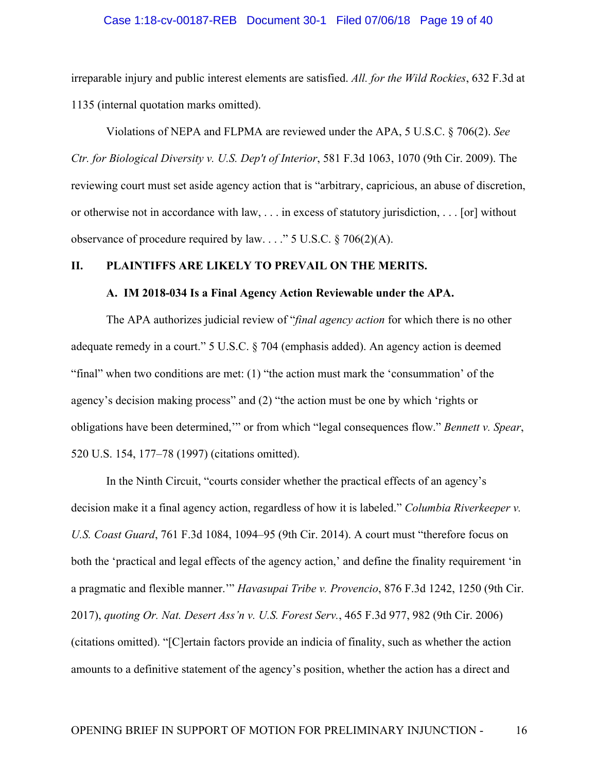# Case 1:18-cv-00187-REB Document 30-1 Filed 07/06/18 Page 19 of 40

irreparable injury and public interest elements are satisfied. *All. for the Wild Rockies*, 632 F.3d at 1135 (internal quotation marks omitted).

Violations of NEPA and FLPMA are reviewed under the APA, 5 U.S.C. § 706(2). *See Ctr. for Biological Diversity v. U.S. Dep't of Interior*, 581 F.3d 1063, 1070 (9th Cir. 2009). The reviewing court must set aside agency action that is "arbitrary, capricious, an abuse of discretion, or otherwise not in accordance with law, . . . in excess of statutory jurisdiction, . . . [or] without observance of procedure required by law. . . ." 5 U.S.C. § 706(2)(A).

## **II. PLAINTIFFS ARE LIKELY TO PREVAIL ON THE MERITS.**

#### **A. IM 2018-034 Is a Final Agency Action Reviewable under the APA.**

The APA authorizes judicial review of "*final agency action* for which there is no other adequate remedy in a court." 5 U.S.C. § 704 (emphasis added). An agency action is deemed "final" when two conditions are met: (1) "the action must mark the 'consummation' of the agency's decision making process" and (2) "the action must be one by which 'rights or obligations have been determined,'" or from which "legal consequences flow." *Bennett v. Spear*, 520 U.S. 154, 177–78 (1997) (citations omitted).

In the Ninth Circuit, "courts consider whether the practical effects of an agency's decision make it a final agency action, regardless of how it is labeled." *Columbia Riverkeeper v. U.S. Coast Guard*, 761 F.3d 1084, 1094–95 (9th Cir. 2014). A court must "therefore focus on both the 'practical and legal effects of the agency action,' and define the finality requirement 'in a pragmatic and flexible manner.'" *Havasupai Tribe v. Provencio*, 876 F.3d 1242, 1250 (9th Cir. 2017), *quoting Or. Nat. Desert Ass'n v. U.S. Forest Serv.*, 465 F.3d 977, 982 (9th Cir. 2006) (citations omitted). "[C]ertain factors provide an indicia of finality, such as whether the action amounts to a definitive statement of the agency's position, whether the action has a direct and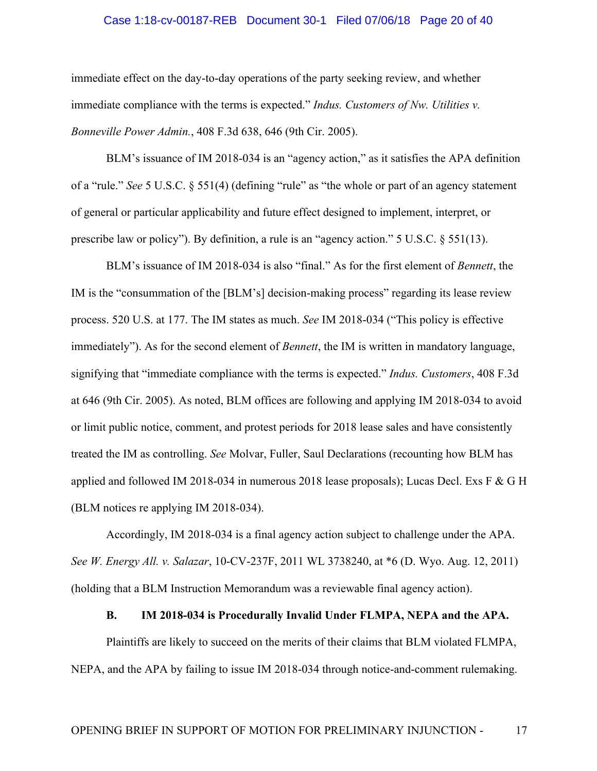# Case 1:18-cv-00187-REB Document 30-1 Filed 07/06/18 Page 20 of 40

immediate effect on the day-to-day operations of the party seeking review, and whether immediate compliance with the terms is expected." *Indus. Customers of Nw. Utilities v. Bonneville Power Admin.*, 408 F.3d 638, 646 (9th Cir. 2005).

BLM's issuance of IM 2018-034 is an "agency action," as it satisfies the APA definition of a "rule." *See* 5 U.S.C. § 551(4) (defining "rule" as "the whole or part of an agency statement of general or particular applicability and future effect designed to implement, interpret, or prescribe law or policy"). By definition, a rule is an "agency action."  $5 \text{ U.S.C. }$   $§ 551(13)$ .

BLM's issuance of IM 2018-034 is also "final." As for the first element of *Bennett*, the IM is the "consummation of the [BLM's] decision-making process" regarding its lease review process. 520 U.S. at 177. The IM states as much. *See* IM 2018-034 ("This policy is effective immediately"). As for the second element of *Bennett*, the IM is written in mandatory language, signifying that "immediate compliance with the terms is expected." *Indus. Customers*, 408 F.3d at 646 (9th Cir. 2005). As noted, BLM offices are following and applying IM 2018-034 to avoid or limit public notice, comment, and protest periods for 2018 lease sales and have consistently treated the IM as controlling. *See* Molvar, Fuller, Saul Declarations (recounting how BLM has applied and followed IM 2018-034 in numerous 2018 lease proposals); Lucas Decl. Exs F & G H (BLM notices re applying IM 2018-034).

Accordingly, IM 2018-034 is a final agency action subject to challenge under the APA. *See W. Energy All. v. Salazar*, 10-CV-237F, 2011 WL 3738240, at \*6 (D. Wyo. Aug. 12, 2011) (holding that a BLM Instruction Memorandum was a reviewable final agency action).

### **B. IM 2018-034 is Procedurally Invalid Under FLMPA, NEPA and the APA.**

Plaintiffs are likely to succeed on the merits of their claims that BLM violated FLMPA, NEPA, and the APA by failing to issue IM 2018-034 through notice-and-comment rulemaking.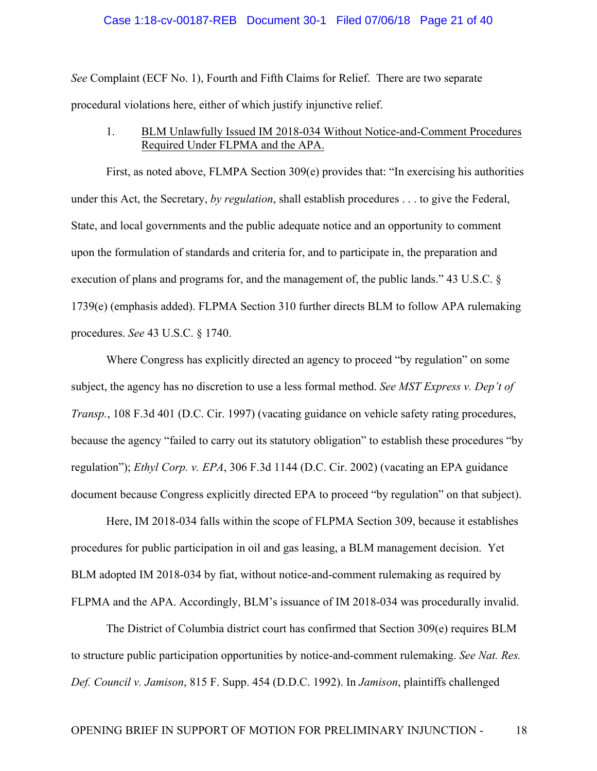# Case 1:18-cv-00187-REB Document 30-1 Filed 07/06/18 Page 21 of 40

*See* Complaint (ECF No. 1), Fourth and Fifth Claims for Relief. There are two separate procedural violations here, either of which justify injunctive relief.

1. BLM Unlawfully Issued IM 2018-034 Without Notice-and-Comment Procedures Required Under FLPMA and the APA.

First, as noted above, FLMPA Section 309(e) provides that: "In exercising his authorities under this Act, the Secretary, *by regulation*, shall establish procedures . . . to give the Federal, State, and local governments and the public adequate notice and an opportunity to comment upon the formulation of standards and criteria for, and to participate in, the preparation and execution of plans and programs for, and the management of, the public lands." 43 U.S.C. § 1739(e) (emphasis added). FLPMA Section 310 further directs BLM to follow APA rulemaking procedures. *See* 43 U.S.C. § 1740.

Where Congress has explicitly directed an agency to proceed "by regulation" on some subject, the agency has no discretion to use a less formal method. *See MST Express v. Dep't of Transp.*, 108 F.3d 401 (D.C. Cir. 1997) (vacating guidance on vehicle safety rating procedures, because the agency "failed to carry out its statutory obligation" to establish these procedures "by regulation"); *Ethyl Corp. v. EPA*, 306 F.3d 1144 (D.C. Cir. 2002) (vacating an EPA guidance document because Congress explicitly directed EPA to proceed "by regulation" on that subject).

Here, IM 2018-034 falls within the scope of FLPMA Section 309, because it establishes procedures for public participation in oil and gas leasing, a BLM management decision. Yet BLM adopted IM 2018-034 by fiat, without notice-and-comment rulemaking as required by FLPMA and the APA. Accordingly, BLM's issuance of IM 2018-034 was procedurally invalid.

The District of Columbia district court has confirmed that Section 309(e) requires BLM to structure public participation opportunities by notice-and-comment rulemaking. *See Nat. Res. Def. Council v. Jamison*, 815 F. Supp. 454 (D.D.C. 1992). In *Jamison*, plaintiffs challenged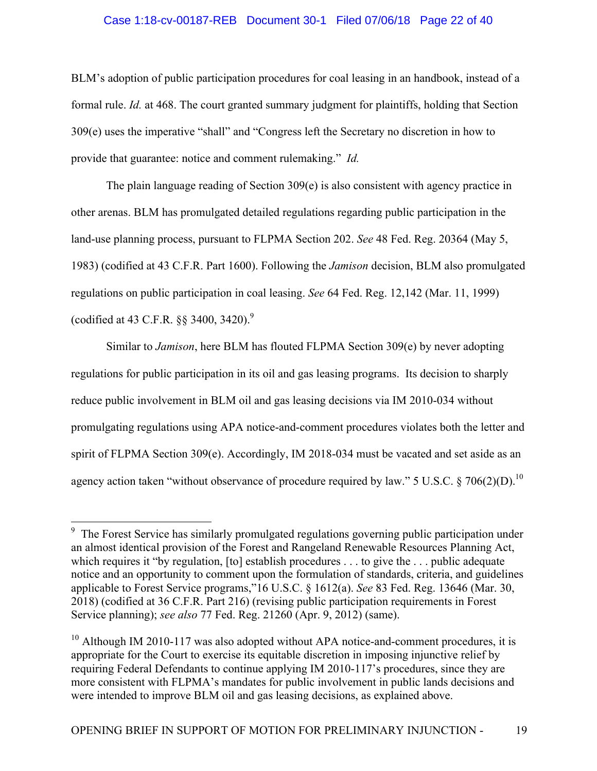## Case 1:18-cv-00187-REB Document 30-1 Filed 07/06/18 Page 22 of 40

BLM's adoption of public participation procedures for coal leasing in an handbook, instead of a formal rule. *Id.* at 468. The court granted summary judgment for plaintiffs, holding that Section 309(e) uses the imperative "shall" and "Congress left the Secretary no discretion in how to provide that guarantee: notice and comment rulemaking." *Id.*

The plain language reading of Section 309(e) is also consistent with agency practice in other arenas. BLM has promulgated detailed regulations regarding public participation in the land-use planning process, pursuant to FLPMA Section 202. *See* 48 Fed. Reg. 20364 (May 5, 1983) (codified at 43 C.F.R. Part 1600). Following the *Jamison* decision, BLM also promulgated regulations on public participation in coal leasing. *See* 64 Fed. Reg. 12,142 (Mar. 11, 1999) (codified at 43 C.F.R.  $\S$ § 3400, 3420).<sup>9</sup>

Similar to *Jamison*, here BLM has flouted FLPMA Section 309(e) by never adopting regulations for public participation in its oil and gas leasing programs. Its decision to sharply reduce public involvement in BLM oil and gas leasing decisions via IM 2010-034 without promulgating regulations using APA notice-and-comment procedures violates both the letter and spirit of FLPMA Section 309(e). Accordingly, IM 2018-034 must be vacated and set aside as an agency action taken "without observance of procedure required by law." 5 U.S.C.  $\frac{8}{10}$  706(2)(D).<sup>10</sup>

<sup>&</sup>lt;sup>9</sup> The Forest Service has similarly promulgated regulations governing public participation under an almost identical provision of the Forest and Rangeland Renewable Resources Planning Act, which requires it "by regulation, [to] establish procedures . . . to give the . . . public adequate notice and an opportunity to comment upon the formulation of standards, criteria, and guidelines applicable to Forest Service programs,"16 U.S.C. § 1612(a). *See* 83 Fed. Reg. 13646 (Mar. 30, 2018) (codified at 36 C.F.R. Part 216) (revising public participation requirements in Forest Service planning); *see also* 77 Fed. Reg. 21260 (Apr. 9, 2012) (same).

 $10$  Although IM 2010-117 was also adopted without APA notice-and-comment procedures, it is appropriate for the Court to exercise its equitable discretion in imposing injunctive relief by requiring Federal Defendants to continue applying IM 2010-117's procedures, since they are more consistent with FLPMA's mandates for public involvement in public lands decisions and were intended to improve BLM oil and gas leasing decisions, as explained above.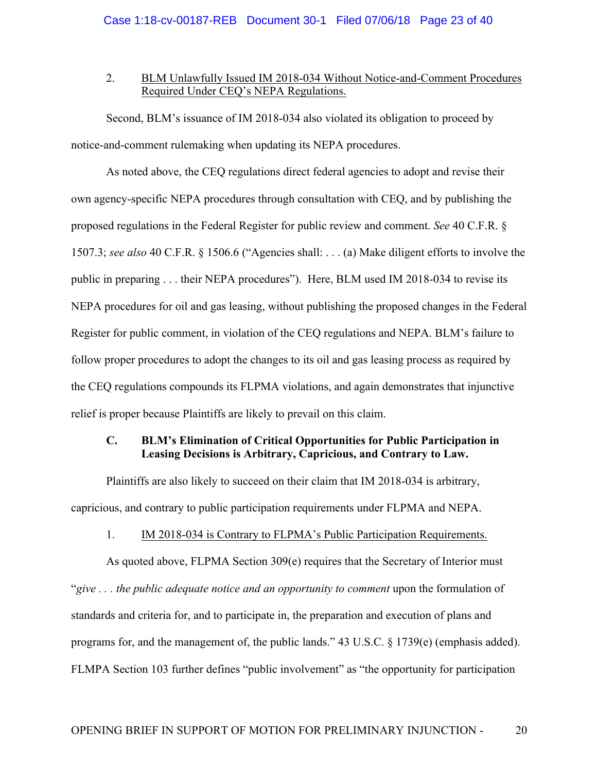## 2. BLM Unlawfully Issued IM 2018-034 Without Notice-and-Comment Procedures Required Under CEQ's NEPA Regulations.

Second, BLM's issuance of IM 2018-034 also violated its obligation to proceed by notice-and-comment rulemaking when updating its NEPA procedures.

As noted above, the CEQ regulations direct federal agencies to adopt and revise their own agency-specific NEPA procedures through consultation with CEQ, and by publishing the proposed regulations in the Federal Register for public review and comment. *See* 40 C.F.R. § 1507.3; *see also* 40 C.F.R. § 1506.6 ("Agencies shall: . . . (a) Make diligent efforts to involve the public in preparing . . . their NEPA procedures"). Here, BLM used IM 2018-034 to revise its NEPA procedures for oil and gas leasing, without publishing the proposed changes in the Federal Register for public comment, in violation of the CEQ regulations and NEPA. BLM's failure to follow proper procedures to adopt the changes to its oil and gas leasing process as required by the CEQ regulations compounds its FLPMA violations, and again demonstrates that injunctive relief is proper because Plaintiffs are likely to prevail on this claim.

## **C. BLM's Elimination of Critical Opportunities for Public Participation in Leasing Decisions is Arbitrary, Capricious, and Contrary to Law.**

Plaintiffs are also likely to succeed on their claim that IM 2018-034 is arbitrary, capricious, and contrary to public participation requirements under FLPMA and NEPA.

# 1. IM 2018-034 is Contrary to FLPMA's Public Participation Requirements.

As quoted above, FLPMA Section 309(e) requires that the Secretary of Interior must "*give . . . the public adequate notice and an opportunity to comment* upon the formulation of standards and criteria for, and to participate in, the preparation and execution of plans and programs for, and the management of, the public lands." 43 U.S.C. § 1739(e) (emphasis added). FLMPA Section 103 further defines "public involvement" as "the opportunity for participation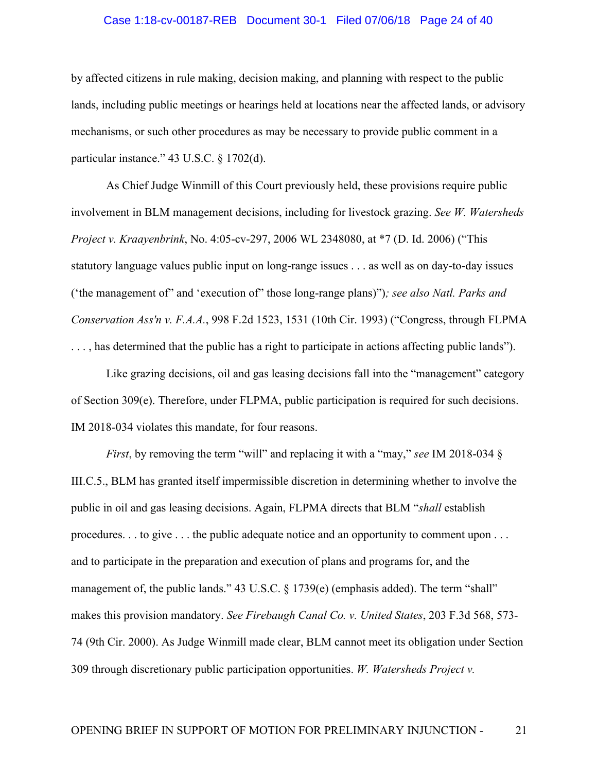### Case 1:18-cv-00187-REB Document 30-1 Filed 07/06/18 Page 24 of 40

by affected citizens in rule making, decision making, and planning with respect to the public lands, including public meetings or hearings held at locations near the affected lands, or advisory mechanisms, or such other procedures as may be necessary to provide public comment in a particular instance." 43 U.S.C. § 1702(d).

As Chief Judge Winmill of this Court previously held, these provisions require public involvement in BLM management decisions, including for livestock grazing. *See W. Watersheds Project v. Kraayenbrink*, No. 4:05-cv-297, 2006 WL 2348080, at \*7 (D. Id. 2006) ("This statutory language values public input on long-range issues . . . as well as on day-to-day issues ('the management of" and 'execution of" those long-range plans)")*; see also Natl. Parks and Conservation Ass'n v. F.A.A.*, 998 F.2d 1523, 1531 (10th Cir. 1993) ("Congress, through FLPMA . . . , has determined that the public has a right to participate in actions affecting public lands").

Like grazing decisions, oil and gas leasing decisions fall into the "management" category of Section 309(e). Therefore, under FLPMA, public participation is required for such decisions. IM 2018-034 violates this mandate, for four reasons.

*First*, by removing the term "will" and replacing it with a "may," *see* IM 2018-034 § III.C.5., BLM has granted itself impermissible discretion in determining whether to involve the public in oil and gas leasing decisions. Again, FLPMA directs that BLM "*shall* establish procedures. . . to give . . . the public adequate notice and an opportunity to comment upon . . . and to participate in the preparation and execution of plans and programs for, and the management of, the public lands." 43 U.S.C. § 1739(e) (emphasis added). The term "shall" makes this provision mandatory. *See Firebaugh Canal Co. v. United States*, 203 F.3d 568, 573- 74 (9th Cir. 2000). As Judge Winmill made clear, BLM cannot meet its obligation under Section 309 through discretionary public participation opportunities. *W. Watersheds Project v.*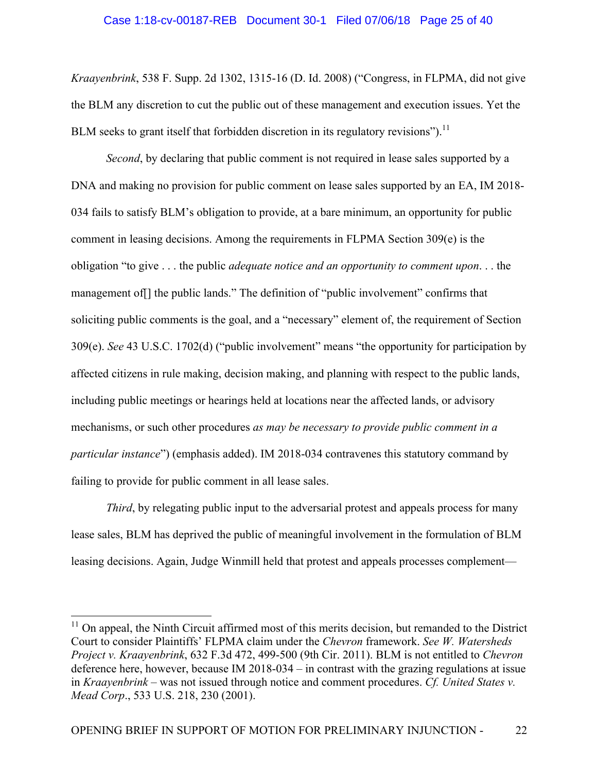### Case 1:18-cv-00187-REB Document 30-1 Filed 07/06/18 Page 25 of 40

*Kraayenbrink*, 538 F. Supp. 2d 1302, 1315-16 (D. Id. 2008) ("Congress, in FLPMA, did not give the BLM any discretion to cut the public out of these management and execution issues. Yet the BLM seeks to grant itself that forbidden discretion in its regulatory revisions").<sup>11</sup>

*Second*, by declaring that public comment is not required in lease sales supported by a DNA and making no provision for public comment on lease sales supported by an EA, IM 2018- 034 fails to satisfy BLM's obligation to provide, at a bare minimum, an opportunity for public comment in leasing decisions. Among the requirements in FLPMA Section 309(e) is the obligation "to give . . . the public *adequate notice and an opportunity to comment upon*. . . the management of[] the public lands." The definition of "public involvement" confirms that soliciting public comments is the goal, and a "necessary" element of, the requirement of Section 309(e). *See* 43 U.S.C. 1702(d) ("public involvement" means "the opportunity for participation by affected citizens in rule making, decision making, and planning with respect to the public lands, including public meetings or hearings held at locations near the affected lands, or advisory mechanisms, or such other procedures *as may be necessary to provide public comment in a particular instance*") (emphasis added). IM 2018-034 contravenes this statutory command by failing to provide for public comment in all lease sales.

*Third*, by relegating public input to the adversarial protest and appeals process for many lease sales, BLM has deprived the public of meaningful involvement in the formulation of BLM leasing decisions. Again, Judge Winmill held that protest and appeals processes complement—

 $11$  On appeal, the Ninth Circuit affirmed most of this merits decision, but remanded to the District Court to consider Plaintiffs' FLPMA claim under the *Chevron* framework. *See W. Watersheds Project v. Kraayenbrink*, 632 F.3d 472, 499-500 (9th Cir. 2011). BLM is not entitled to *Chevron* deference here, however, because IM 2018-034 – in contrast with the grazing regulations at issue in *Kraayenbrink* – was not issued through notice and comment procedures. *Cf. United States v. Mead Corp*., 533 U.S. 218, 230 (2001).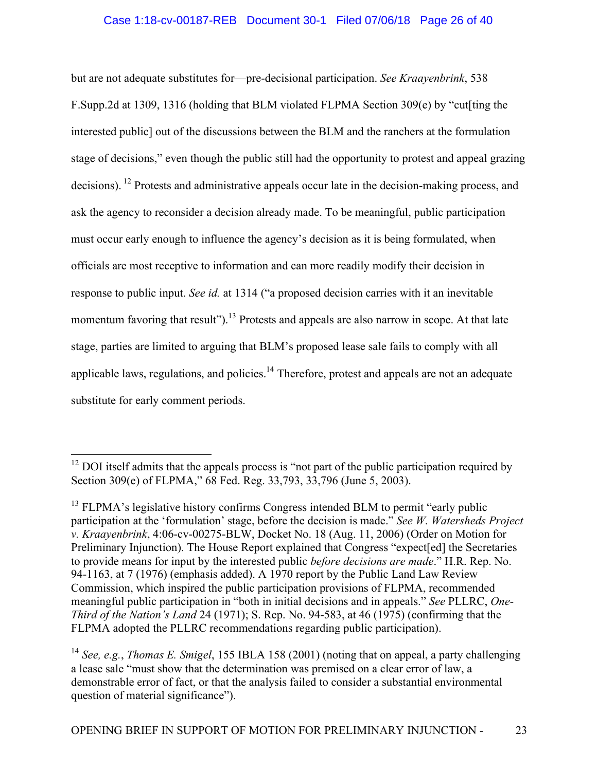## Case 1:18-cv-00187-REB Document 30-1 Filed 07/06/18 Page 26 of 40

but are not adequate substitutes for—pre-decisional participation. *See Kraayenbrink*, 538 F.Supp.2d at 1309, 1316 (holding that BLM violated FLPMA Section 309(e) by "cut[ting the interested public] out of the discussions between the BLM and the ranchers at the formulation stage of decisions," even though the public still had the opportunity to protest and appeal grazing decisions). <sup>12</sup> Protests and administrative appeals occur late in the decision-making process, and ask the agency to reconsider a decision already made. To be meaningful, public participation must occur early enough to influence the agency's decision as it is being formulated, when officials are most receptive to information and can more readily modify their decision in response to public input. *See id.* at 1314 ("a proposed decision carries with it an inevitable momentum favoring that result").<sup>13</sup> Protests and appeals are also narrow in scope. At that late stage, parties are limited to arguing that BLM's proposed lease sale fails to comply with all applicable laws, regulations, and policies.<sup>14</sup> Therefore, protest and appeals are not an adequate substitute for early comment periods.

 $12$  DOI itself admits that the appeals process is "not part of the public participation required by Section 309(e) of FLPMA," 68 Fed. Reg. 33,793, 33,796 (June 5, 2003).

 $13$  FLPMA's legislative history confirms Congress intended BLM to permit "early public" participation at the 'formulation' stage, before the decision is made." *See W. Watersheds Project v. Kraayenbrink*, 4:06-cv-00275-BLW, Docket No. 18 (Aug. 11, 2006) (Order on Motion for Preliminary Injunction). The House Report explained that Congress "expect[ed] the Secretaries to provide means for input by the interested public *before decisions are made*." H.R. Rep. No. 94-1163, at 7 (1976) (emphasis added). A 1970 report by the Public Land Law Review Commission, which inspired the public participation provisions of FLPMA, recommended meaningful public participation in "both in initial decisions and in appeals." *See* PLLRC, *One-Third of the Nation's Land* 24 (1971); S. Rep. No. 94-583, at 46 (1975) (confirming that the FLPMA adopted the PLLRC recommendations regarding public participation).

<sup>14</sup> *See, e.g.*, *Thomas E. Smigel*, 155 IBLA 158 (2001) (noting that on appeal, a party challenging a lease sale "must show that the determination was premised on a clear error of law, a demonstrable error of fact, or that the analysis failed to consider a substantial environmental question of material significance").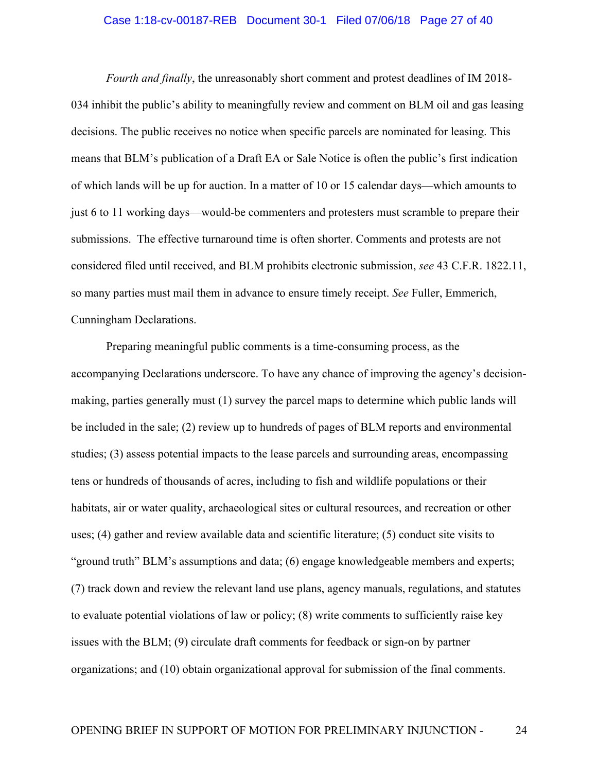### Case 1:18-cv-00187-REB Document 30-1 Filed 07/06/18 Page 27 of 40

*Fourth and finally*, the unreasonably short comment and protest deadlines of IM 2018- 034 inhibit the public's ability to meaningfully review and comment on BLM oil and gas leasing decisions. The public receives no notice when specific parcels are nominated for leasing. This means that BLM's publication of a Draft EA or Sale Notice is often the public's first indication of which lands will be up for auction. In a matter of 10 or 15 calendar days—which amounts to just 6 to 11 working days—would-be commenters and protesters must scramble to prepare their submissions. The effective turnaround time is often shorter. Comments and protests are not considered filed until received, and BLM prohibits electronic submission, *see* 43 C.F.R. 1822.11, so many parties must mail them in advance to ensure timely receipt. *See* Fuller, Emmerich, Cunningham Declarations.

Preparing meaningful public comments is a time-consuming process, as the accompanying Declarations underscore. To have any chance of improving the agency's decisionmaking, parties generally must (1) survey the parcel maps to determine which public lands will be included in the sale; (2) review up to hundreds of pages of BLM reports and environmental studies; (3) assess potential impacts to the lease parcels and surrounding areas, encompassing tens or hundreds of thousands of acres, including to fish and wildlife populations or their habitats, air or water quality, archaeological sites or cultural resources, and recreation or other uses; (4) gather and review available data and scientific literature; (5) conduct site visits to "ground truth" BLM's assumptions and data; (6) engage knowledgeable members and experts; (7) track down and review the relevant land use plans, agency manuals, regulations, and statutes to evaluate potential violations of law or policy; (8) write comments to sufficiently raise key issues with the BLM; (9) circulate draft comments for feedback or sign-on by partner organizations; and (10) obtain organizational approval for submission of the final comments.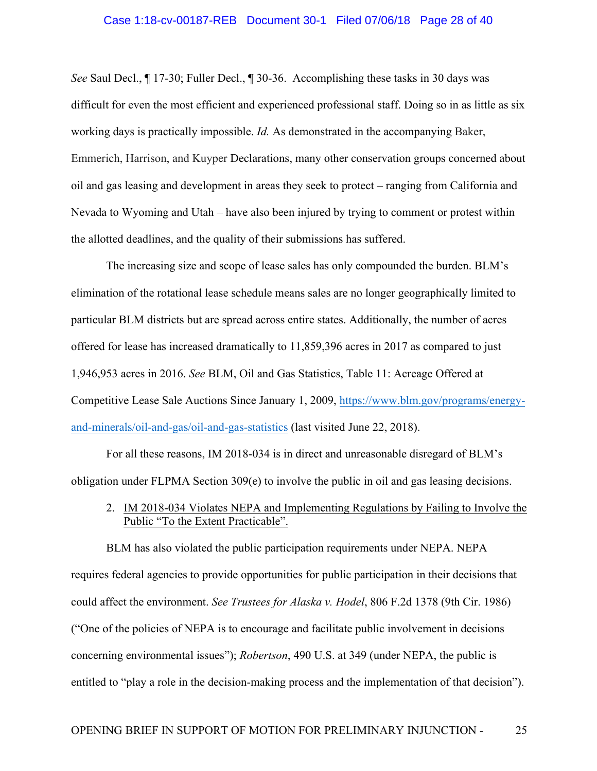# Case 1:18-cv-00187-REB Document 30-1 Filed 07/06/18 Page 28 of 40

*See* Saul Decl., ¶ 17-30; Fuller Decl., ¶ 30-36. Accomplishing these tasks in 30 days was difficult for even the most efficient and experienced professional staff. Doing so in as little as six working days is practically impossible. *Id.* As demonstrated in the accompanying Baker, Emmerich, Harrison, and Kuyper Declarations, many other conservation groups concerned about oil and gas leasing and development in areas they seek to protect – ranging from California and Nevada to Wyoming and Utah – have also been injured by trying to comment or protest within the allotted deadlines, and the quality of their submissions has suffered.

The increasing size and scope of lease sales has only compounded the burden. BLM's elimination of the rotational lease schedule means sales are no longer geographically limited to particular BLM districts but are spread across entire states. Additionally, the number of acres offered for lease has increased dramatically to 11,859,396 acres in 2017 as compared to just 1,946,953 acres in 2016. *See* BLM, Oil and Gas Statistics, Table 11: Acreage Offered at Competitive Lease Sale Auctions Since January 1, 2009, https://www.blm.gov/programs/energyand-minerals/oil-and-gas/oil-and-gas-statistics (last visited June 22, 2018).

For all these reasons, IM 2018-034 is in direct and unreasonable disregard of BLM's obligation under FLPMA Section 309(e) to involve the public in oil and gas leasing decisions.

## 2. IM 2018-034 Violates NEPA and Implementing Regulations by Failing to Involve the Public "To the Extent Practicable".

BLM has also violated the public participation requirements under NEPA. NEPA requires federal agencies to provide opportunities for public participation in their decisions that could affect the environment. *See Trustees for Alaska v. Hodel*, 806 F.2d 1378 (9th Cir. 1986) ("One of the policies of NEPA is to encourage and facilitate public involvement in decisions concerning environmental issues"); *Robertson*, 490 U.S. at 349 (under NEPA, the public is entitled to "play a role in the decision-making process and the implementation of that decision").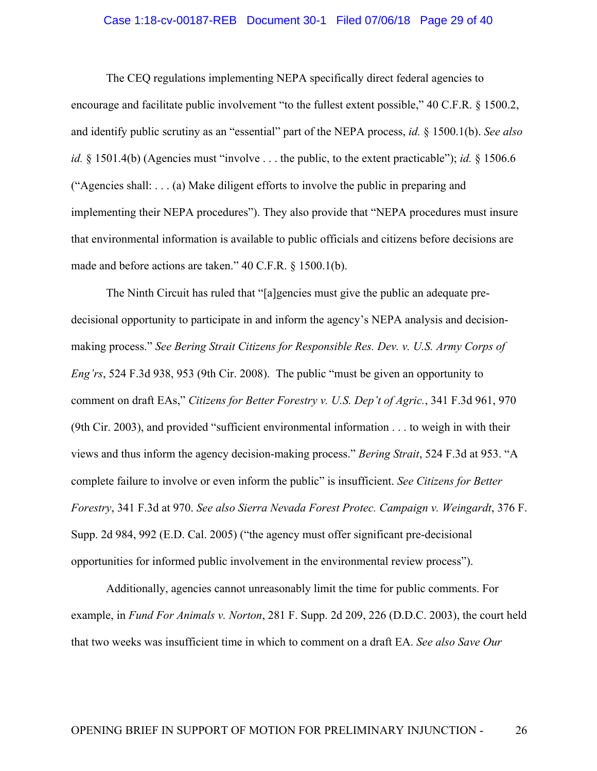### Case 1:18-cv-00187-REB Document 30-1 Filed 07/06/18 Page 29 of 40

The CEQ regulations implementing NEPA specifically direct federal agencies to encourage and facilitate public involvement "to the fullest extent possible," 40 C.F.R. § 1500.2, and identify public scrutiny as an "essential" part of the NEPA process, *id.* § 1500.1(b). *See also id.* § 1501.4(b) (Agencies must "involve . . . the public, to the extent practicable"); *id.* § 1506.6 ("Agencies shall: . . . (a) Make diligent efforts to involve the public in preparing and implementing their NEPA procedures"). They also provide that "NEPA procedures must insure that environmental information is available to public officials and citizens before decisions are made and before actions are taken." 40 C.F.R. § 1500.1(b).

The Ninth Circuit has ruled that "[a]gencies must give the public an adequate predecisional opportunity to participate in and inform the agency's NEPA analysis and decisionmaking process." *See Bering Strait Citizens for Responsible Res. Dev. v. U.S. Army Corps of Eng'rs*, 524 F.3d 938, 953 (9th Cir. 2008). The public "must be given an opportunity to comment on draft EAs," *Citizens for Better Forestry v. U.S. Dep't of Agric.*, 341 F.3d 961, 970 (9th Cir. 2003), and provided "sufficient environmental information . . . to weigh in with their views and thus inform the agency decision-making process." *Bering Strait*, 524 F.3d at 953. "A complete failure to involve or even inform the public" is insufficient. *See Citizens for Better Forestry*, 341 F.3d at 970. *See also Sierra Nevada Forest Protec. Campaign v. Weingardt*, 376 F. Supp. 2d 984, 992 (E.D. Cal. 2005) ("the agency must offer significant pre-decisional opportunities for informed public involvement in the environmental review process").

Additionally, agencies cannot unreasonably limit the time for public comments. For example, in *Fund For Animals v. Norton*, 281 F. Supp. 2d 209, 226 (D.D.C. 2003), the court held that two weeks was insufficient time in which to comment on a draft EA. *See also Save Our*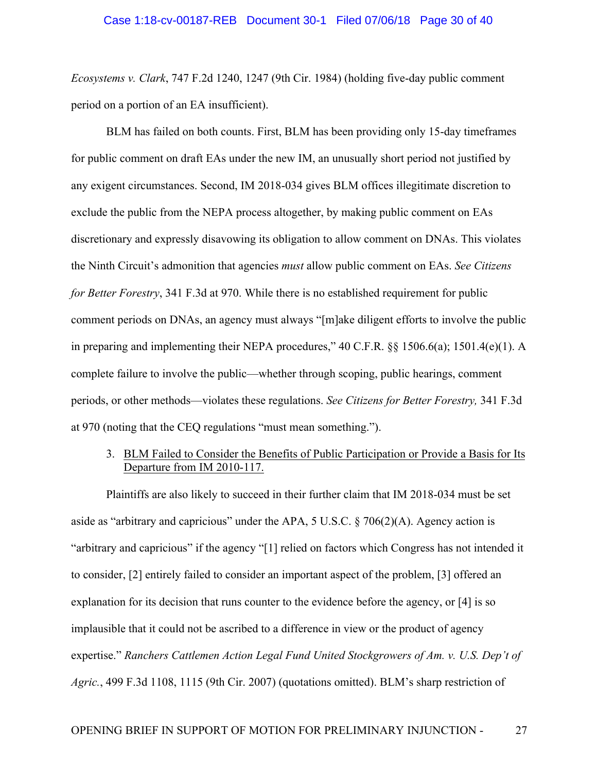*Ecosystems v. Clark*, 747 F.2d 1240, 1247 (9th Cir. 1984) (holding five-day public comment period on a portion of an EA insufficient).

BLM has failed on both counts. First, BLM has been providing only 15-day timeframes for public comment on draft EAs under the new IM, an unusually short period not justified by any exigent circumstances. Second, IM 2018-034 gives BLM offices illegitimate discretion to exclude the public from the NEPA process altogether, by making public comment on EAs discretionary and expressly disavowing its obligation to allow comment on DNAs. This violates the Ninth Circuit's admonition that agencies *must* allow public comment on EAs. *See Citizens for Better Forestry*, 341 F.3d at 970. While there is no established requirement for public comment periods on DNAs, an agency must always "[m]ake diligent efforts to involve the public in preparing and implementing their NEPA procedures," 40 C.F.R. §§ 1506.6(a); 1501.4(e)(1). A complete failure to involve the public—whether through scoping, public hearings, comment periods, or other methods—violates these regulations. *See Citizens for Better Forestry,* 341 F.3d at 970 (noting that the CEQ regulations "must mean something.").

## 3. BLM Failed to Consider the Benefits of Public Participation or Provide a Basis for Its Departure from IM 2010-117.

Plaintiffs are also likely to succeed in their further claim that IM 2018-034 must be set aside as "arbitrary and capricious" under the APA, 5 U.S.C. § 706(2)(A). Agency action is "arbitrary and capricious" if the agency "[1] relied on factors which Congress has not intended it to consider, [2] entirely failed to consider an important aspect of the problem, [3] offered an explanation for its decision that runs counter to the evidence before the agency, or [4] is so implausible that it could not be ascribed to a difference in view or the product of agency expertise." *Ranchers Cattlemen Action Legal Fund United Stockgrowers of Am. v. U.S. Dep't of Agric.*, 499 F.3d 1108, 1115 (9th Cir. 2007) (quotations omitted). BLM's sharp restriction of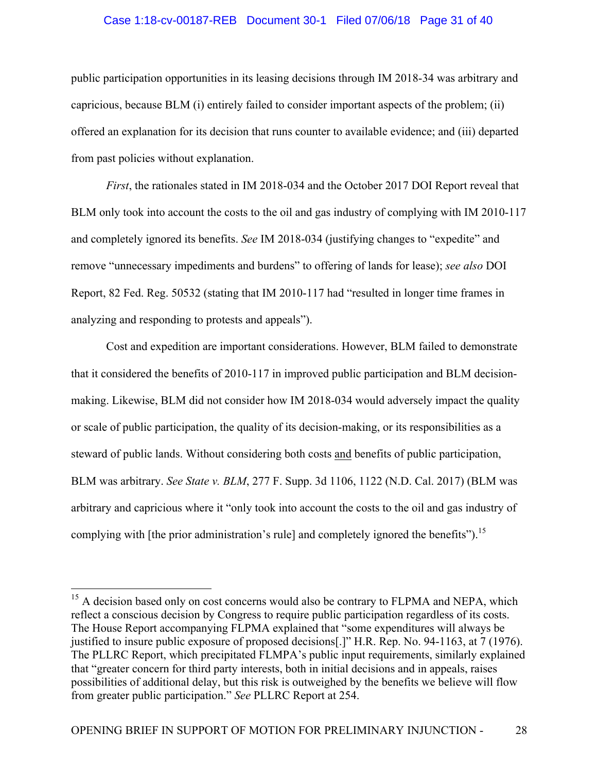## Case 1:18-cv-00187-REB Document 30-1 Filed 07/06/18 Page 31 of 40

public participation opportunities in its leasing decisions through IM 2018-34 was arbitrary and capricious, because BLM (i) entirely failed to consider important aspects of the problem; (ii) offered an explanation for its decision that runs counter to available evidence; and (iii) departed from past policies without explanation.

*First*, the rationales stated in IM 2018-034 and the October 2017 DOI Report reveal that BLM only took into account the costs to the oil and gas industry of complying with IM 2010-117 and completely ignored its benefits. *See* IM 2018-034 (justifying changes to "expedite" and remove "unnecessary impediments and burdens" to offering of lands for lease); *see also* DOI Report, 82 Fed. Reg. 50532 (stating that IM 2010-117 had "resulted in longer time frames in analyzing and responding to protests and appeals").

Cost and expedition are important considerations. However, BLM failed to demonstrate that it considered the benefits of 2010-117 in improved public participation and BLM decisionmaking. Likewise, BLM did not consider how IM 2018-034 would adversely impact the quality or scale of public participation, the quality of its decision-making, or its responsibilities as a steward of public lands. Without considering both costs and benefits of public participation, BLM was arbitrary. *See State v. BLM*, 277 F. Supp. 3d 1106, 1122 (N.D. Cal. 2017) (BLM was arbitrary and capricious where it "only took into account the costs to the oil and gas industry of complying with [the prior administration's rule] and completely ignored the benefits").<sup>15</sup>

<sup>&</sup>lt;sup>15</sup> A decision based only on cost concerns would also be contrary to FLPMA and NEPA, which reflect a conscious decision by Congress to require public participation regardless of its costs. The House Report accompanying FLPMA explained that "some expenditures will always be justified to insure public exposure of proposed decisions[.]" H.R. Rep. No. 94-1163, at 7 (1976). The PLLRC Report, which precipitated FLMPA's public input requirements, similarly explained that "greater concern for third party interests, both in initial decisions and in appeals, raises possibilities of additional delay, but this risk is outweighed by the benefits we believe will flow from greater public participation." *See* PLLRC Report at 254.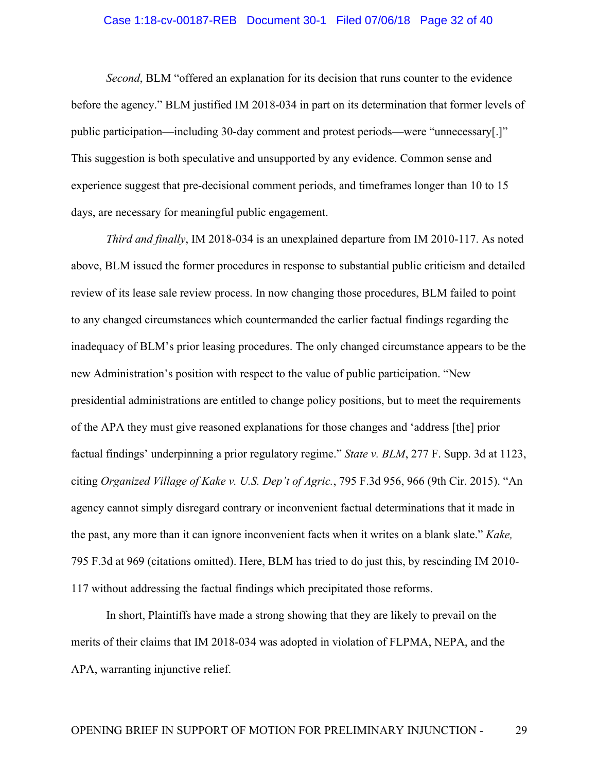# Case 1:18-cv-00187-REB Document 30-1 Filed 07/06/18 Page 32 of 40

*Second*, BLM "offered an explanation for its decision that runs counter to the evidence before the agency." BLM justified IM 2018-034 in part on its determination that former levels of public participation—including 30-day comment and protest periods—were "unnecessary[.]" This suggestion is both speculative and unsupported by any evidence. Common sense and experience suggest that pre-decisional comment periods, and timeframes longer than 10 to 15 days, are necessary for meaningful public engagement.

*Third and finally*, IM 2018-034 is an unexplained departure from IM 2010-117. As noted above, BLM issued the former procedures in response to substantial public criticism and detailed review of its lease sale review process. In now changing those procedures, BLM failed to point to any changed circumstances which countermanded the earlier factual findings regarding the inadequacy of BLM's prior leasing procedures. The only changed circumstance appears to be the new Administration's position with respect to the value of public participation. "New presidential administrations are entitled to change policy positions, but to meet the requirements of the APA they must give reasoned explanations for those changes and 'address [the] prior factual findings' underpinning a prior regulatory regime." *State v. BLM*, 277 F. Supp. 3d at 1123, citing *Organized Village of Kake v. U.S. Dep't of Agric.*, 795 F.3d 956, 966 (9th Cir. 2015). "An agency cannot simply disregard contrary or inconvenient factual determinations that it made in the past, any more than it can ignore inconvenient facts when it writes on a blank slate." *Kake,* 795 F.3d at 969 (citations omitted). Here, BLM has tried to do just this, by rescinding IM 2010- 117 without addressing the factual findings which precipitated those reforms.

In short, Plaintiffs have made a strong showing that they are likely to prevail on the merits of their claims that IM 2018-034 was adopted in violation of FLPMA, NEPA, and the APA, warranting injunctive relief.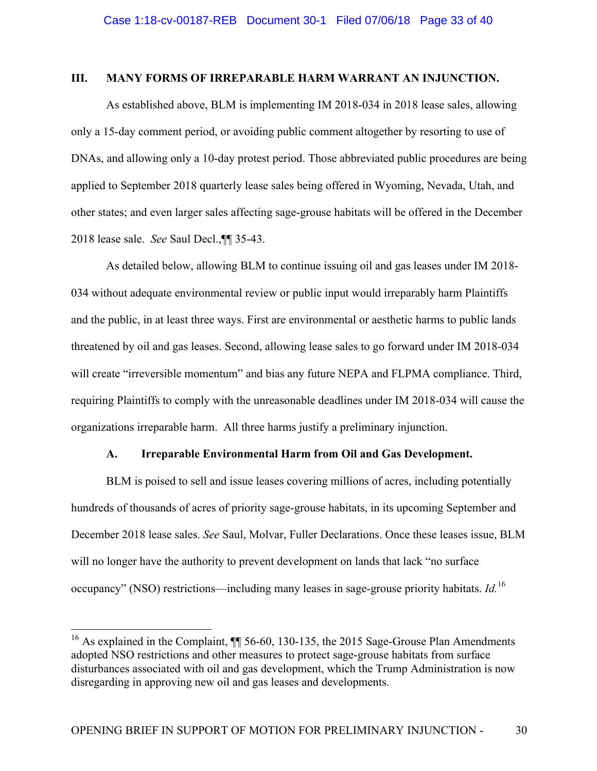### **III. MANY FORMS OF IRREPARABLE HARM WARRANT AN INJUNCTION.**

As established above, BLM is implementing IM 2018-034 in 2018 lease sales, allowing only a 15-day comment period, or avoiding public comment altogether by resorting to use of DNAs, and allowing only a 10-day protest period. Those abbreviated public procedures are being applied to September 2018 quarterly lease sales being offered in Wyoming, Nevada, Utah, and other states; and even larger sales affecting sage-grouse habitats will be offered in the December 2018 lease sale. *See* Saul Decl.,¶¶ 35-43.

As detailed below, allowing BLM to continue issuing oil and gas leases under IM 2018- 034 without adequate environmental review or public input would irreparably harm Plaintiffs and the public, in at least three ways. First are environmental or aesthetic harms to public lands threatened by oil and gas leases. Second, allowing lease sales to go forward under IM 2018-034 will create "irreversible momentum" and bias any future NEPA and FLPMA compliance. Third, requiring Plaintiffs to comply with the unreasonable deadlines under IM 2018-034 will cause the organizations irreparable harm. All three harms justify a preliminary injunction.

## **A. Irreparable Environmental Harm from Oil and Gas Development.**

BLM is poised to sell and issue leases covering millions of acres, including potentially hundreds of thousands of acres of priority sage-grouse habitats, in its upcoming September and December 2018 lease sales. *See* Saul, Molvar, Fuller Declarations. Once these leases issue, BLM will no longer have the authority to prevent development on lands that lack "no surface occupancy" (NSO) restrictions—including many leases in sage-grouse priority habitats. *Id.*<sup>16</sup>

<sup>&</sup>lt;sup>16</sup> As explained in the Complaint,  $\P$  56-60, 130-135, the 2015 Sage-Grouse Plan Amendments adopted NSO restrictions and other measures to protect sage-grouse habitats from surface disturbances associated with oil and gas development, which the Trump Administration is now disregarding in approving new oil and gas leases and developments.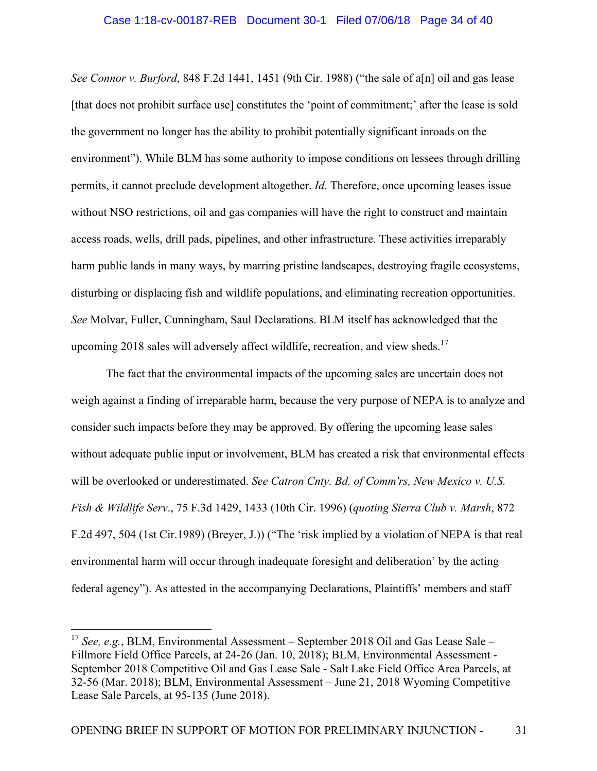*See Connor v. Burford*, 848 F.2d 1441, 1451 (9th Cir. 1988) ("the sale of a[n] oil and gas lease [that does not prohibit surface use] constitutes the 'point of commitment;' after the lease is sold the government no longer has the ability to prohibit potentially significant inroads on the environment"). While BLM has some authority to impose conditions on lessees through drilling permits, it cannot preclude development altogether. *Id.* Therefore, once upcoming leases issue without NSO restrictions, oil and gas companies will have the right to construct and maintain access roads, wells, drill pads, pipelines, and other infrastructure. These activities irreparably harm public lands in many ways, by marring pristine landscapes, destroying fragile ecosystems, disturbing or displacing fish and wildlife populations, and eliminating recreation opportunities. *See* Molvar, Fuller, Cunningham, Saul Declarations. BLM itself has acknowledged that the upcoming 2018 sales will adversely affect wildlife, recreation, and view sheds.<sup>17</sup>

The fact that the environmental impacts of the upcoming sales are uncertain does not weigh against a finding of irreparable harm, because the very purpose of NEPA is to analyze and consider such impacts before they may be approved. By offering the upcoming lease sales without adequate public input or involvement, BLM has created a risk that environmental effects will be overlooked or underestimated. *See Catron Cnty. Bd. of Comm'rs, New Mexico v. U.S. Fish & Wildlife Serv*., 75 F.3d 1429, 1433 (10th Cir. 1996) (*quoting Sierra Club v. Marsh*, 872 F.2d 497, 504 (1st Cir.1989) (Breyer, J.)) ("The 'risk implied by a violation of NEPA is that real environmental harm will occur through inadequate foresight and deliberation' by the acting federal agency"). As attested in the accompanying Declarations, Plaintiffs' members and staff

<sup>&</sup>lt;sup>17</sup> *See, e.g.*, BLM, Environmental Assessment – September 2018 Oil and Gas Lease Sale – Fillmore Field Office Parcels, at 24-26 (Jan. 10, 2018); BLM, Environmental Assessment - September 2018 Competitive Oil and Gas Lease Sale - Salt Lake Field Office Area Parcels, at 32-56 (Mar. 2018); BLM, Environmental Assessment – June 21, 2018 Wyoming Competitive Lease Sale Parcels, at 95-135 (June 2018).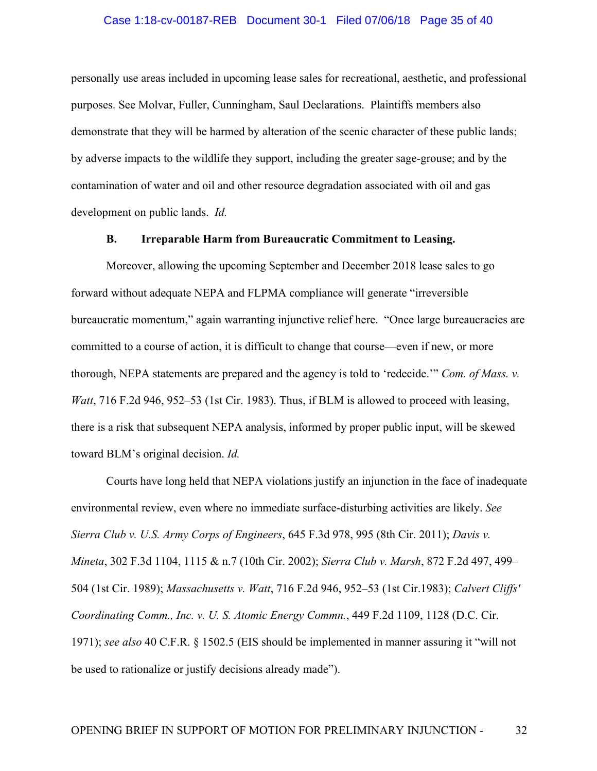# Case 1:18-cv-00187-REB Document 30-1 Filed 07/06/18 Page 35 of 40

personally use areas included in upcoming lease sales for recreational, aesthetic, and professional purposes. See Molvar, Fuller, Cunningham, Saul Declarations. Plaintiffs members also demonstrate that they will be harmed by alteration of the scenic character of these public lands; by adverse impacts to the wildlife they support, including the greater sage-grouse; and by the contamination of water and oil and other resource degradation associated with oil and gas development on public lands. *Id.*

### **B. Irreparable Harm from Bureaucratic Commitment to Leasing.**

Moreover, allowing the upcoming September and December 2018 lease sales to go forward without adequate NEPA and FLPMA compliance will generate "irreversible bureaucratic momentum," again warranting injunctive relief here. "Once large bureaucracies are committed to a course of action, it is difficult to change that course—even if new, or more thorough, NEPA statements are prepared and the agency is told to 'redecide.'" *Com. of Mass. v. Watt*, 716 F.2d 946, 952–53 (1st Cir. 1983). Thus, if BLM is allowed to proceed with leasing, there is a risk that subsequent NEPA analysis, informed by proper public input, will be skewed toward BLM's original decision. *Id.*

Courts have long held that NEPA violations justify an injunction in the face of inadequate environmental review, even where no immediate surface-disturbing activities are likely. *See Sierra Club v. U.S. Army Corps of Engineers*, 645 F.3d 978, 995 (8th Cir. 2011); *Davis v. Mineta*, 302 F.3d 1104, 1115 & n.7 (10th Cir. 2002); *Sierra Club v. Marsh*, 872 F.2d 497, 499– 504 (1st Cir. 1989); *Massachusetts v. Watt*, 716 F.2d 946, 952–53 (1st Cir.1983); *Calvert Cliffs' Coordinating Comm., Inc. v. U. S. Atomic Energy Commn.*, 449 F.2d 1109, 1128 (D.C. Cir. 1971); *see also* 40 C.F.R. § 1502.5 (EIS should be implemented in manner assuring it "will not be used to rationalize or justify decisions already made").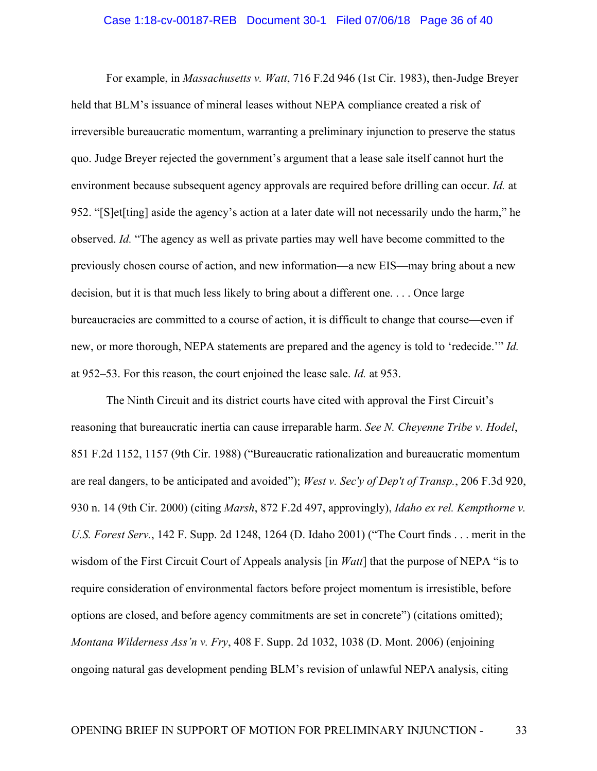### Case 1:18-cv-00187-REB Document 30-1 Filed 07/06/18 Page 36 of 40

For example, in *Massachusetts v. Watt*, 716 F.2d 946 (1st Cir. 1983), then-Judge Breyer held that BLM's issuance of mineral leases without NEPA compliance created a risk of irreversible bureaucratic momentum, warranting a preliminary injunction to preserve the status quo. Judge Breyer rejected the government's argument that a lease sale itself cannot hurt the environment because subsequent agency approvals are required before drilling can occur. *Id.* at 952. "[S]et[ting] aside the agency's action at a later date will not necessarily undo the harm," he observed. *Id.* "The agency as well as private parties may well have become committed to the previously chosen course of action, and new information—a new EIS—may bring about a new decision, but it is that much less likely to bring about a different one. . . . Once large bureaucracies are committed to a course of action, it is difficult to change that course—even if new, or more thorough, NEPA statements are prepared and the agency is told to 'redecide.'" *Id.* at 952–53. For this reason, the court enjoined the lease sale. *Id.* at 953.

The Ninth Circuit and its district courts have cited with approval the First Circuit's reasoning that bureaucratic inertia can cause irreparable harm. *See N. Cheyenne Tribe v. Hodel*, 851 F.2d 1152, 1157 (9th Cir. 1988) ("Bureaucratic rationalization and bureaucratic momentum are real dangers, to be anticipated and avoided"); *West v. Sec'y of Dep't of Transp.*, 206 F.3d 920, 930 n. 14 (9th Cir. 2000) (citing *Marsh*, 872 F.2d 497, approvingly), *Idaho ex rel. Kempthorne v. U.S. Forest Serv.*, 142 F. Supp. 2d 1248, 1264 (D. Idaho 2001) ("The Court finds . . . merit in the wisdom of the First Circuit Court of Appeals analysis [in *Watt*] that the purpose of NEPA "is to require consideration of environmental factors before project momentum is irresistible, before options are closed, and before agency commitments are set in concrete") (citations omitted); *Montana Wilderness Ass'n v. Fry*, 408 F. Supp. 2d 1032, 1038 (D. Mont. 2006) (enjoining ongoing natural gas development pending BLM's revision of unlawful NEPA analysis, citing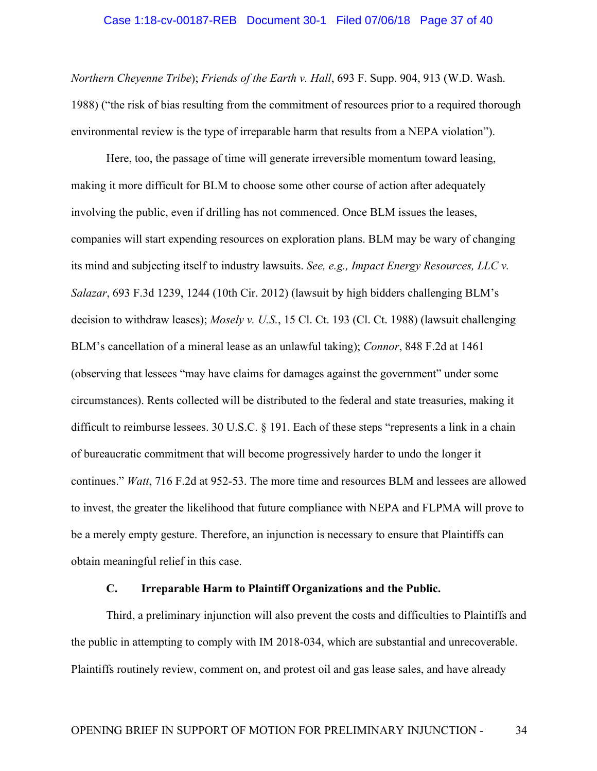# Case 1:18-cv-00187-REB Document 30-1 Filed 07/06/18 Page 37 of 40

*Northern Cheyenne Tribe*); *Friends of the Earth v. Hall*, 693 F. Supp. 904, 913 (W.D. Wash. 1988) ("the risk of bias resulting from the commitment of resources prior to a required thorough environmental review is the type of irreparable harm that results from a NEPA violation").

Here, too, the passage of time will generate irreversible momentum toward leasing, making it more difficult for BLM to choose some other course of action after adequately involving the public, even if drilling has not commenced. Once BLM issues the leases, companies will start expending resources on exploration plans. BLM may be wary of changing its mind and subjecting itself to industry lawsuits. *See, e.g., Impact Energy Resources, LLC v. Salazar*, 693 F.3d 1239, 1244 (10th Cir. 2012) (lawsuit by high bidders challenging BLM's decision to withdraw leases); *Mosely v. U.S.*, 15 Cl. Ct. 193 (Cl. Ct. 1988) (lawsuit challenging BLM's cancellation of a mineral lease as an unlawful taking); *Connor*, 848 F.2d at 1461 (observing that lessees "may have claims for damages against the government" under some circumstances). Rents collected will be distributed to the federal and state treasuries, making it difficult to reimburse lessees. 30 U.S.C. § 191. Each of these steps "represents a link in a chain of bureaucratic commitment that will become progressively harder to undo the longer it continues." *Watt*, 716 F.2d at 952-53. The more time and resources BLM and lessees are allowed to invest, the greater the likelihood that future compliance with NEPA and FLPMA will prove to be a merely empty gesture. Therefore, an injunction is necessary to ensure that Plaintiffs can obtain meaningful relief in this case.

## **C. Irreparable Harm to Plaintiff Organizations and the Public.**

Third, a preliminary injunction will also prevent the costs and difficulties to Plaintiffs and the public in attempting to comply with IM 2018-034, which are substantial and unrecoverable. Plaintiffs routinely review, comment on, and protest oil and gas lease sales, and have already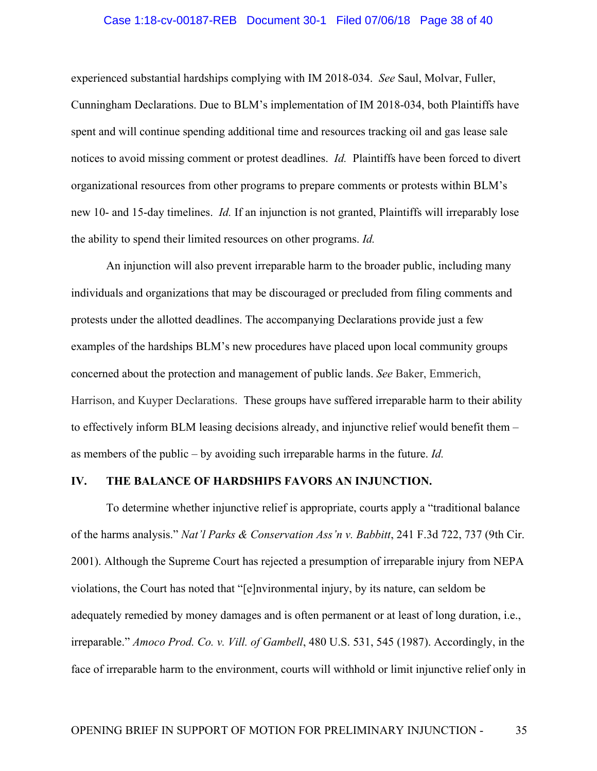# Case 1:18-cv-00187-REB Document 30-1 Filed 07/06/18 Page 38 of 40

experienced substantial hardships complying with IM 2018-034. *See* Saul, Molvar, Fuller, Cunningham Declarations. Due to BLM's implementation of IM 2018-034, both Plaintiffs have spent and will continue spending additional time and resources tracking oil and gas lease sale notices to avoid missing comment or protest deadlines. *Id.* Plaintiffs have been forced to divert organizational resources from other programs to prepare comments or protests within BLM's new 10- and 15-day timelines. *Id.* If an injunction is not granted, Plaintiffs will irreparably lose the ability to spend their limited resources on other programs. *Id.*

An injunction will also prevent irreparable harm to the broader public, including many individuals and organizations that may be discouraged or precluded from filing comments and protests under the allotted deadlines. The accompanying Declarations provide just a few examples of the hardships BLM's new procedures have placed upon local community groups concerned about the protection and management of public lands. *See* Baker, Emmerich, Harrison, and Kuyper Declarations. These groups have suffered irreparable harm to their ability to effectively inform BLM leasing decisions already, and injunctive relief would benefit them – as members of the public – by avoiding such irreparable harms in the future. *Id.*

## **IV. THE BALANCE OF HARDSHIPS FAVORS AN INJUNCTION.**

To determine whether injunctive relief is appropriate, courts apply a "traditional balance of the harms analysis." *Nat'l Parks & Conservation Ass'n v. Babbitt*, 241 F.3d 722, 737 (9th Cir. 2001). Although the Supreme Court has rejected a presumption of irreparable injury from NEPA violations, the Court has noted that "[e]nvironmental injury, by its nature, can seldom be adequately remedied by money damages and is often permanent or at least of long duration, i.e., irreparable." *Amoco Prod. Co. v. Vill. of Gambell*, 480 U.S. 531, 545 (1987). Accordingly, in the face of irreparable harm to the environment, courts will withhold or limit injunctive relief only in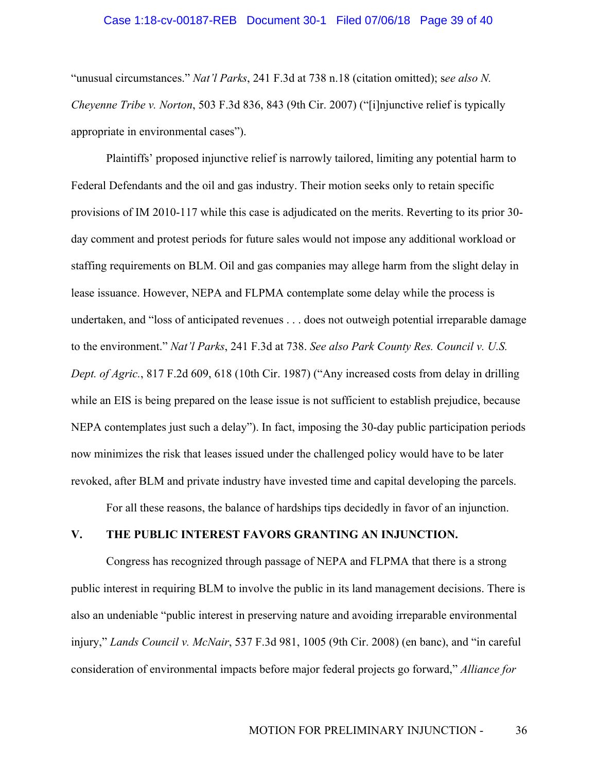# Case 1:18-cv-00187-REB Document 30-1 Filed 07/06/18 Page 39 of 40

"unusual circumstances." *Nat'l Parks*, 241 F.3d at 738 n.18 (citation omitted); s*ee also N. Cheyenne Tribe v. Norton*, 503 F.3d 836, 843 (9th Cir. 2007) ("[i]njunctive relief is typically appropriate in environmental cases").

Plaintiffs' proposed injunctive relief is narrowly tailored, limiting any potential harm to Federal Defendants and the oil and gas industry. Their motion seeks only to retain specific provisions of IM 2010-117 while this case is adjudicated on the merits. Reverting to its prior 30 day comment and protest periods for future sales would not impose any additional workload or staffing requirements on BLM. Oil and gas companies may allege harm from the slight delay in lease issuance. However, NEPA and FLPMA contemplate some delay while the process is undertaken, and "loss of anticipated revenues . . . does not outweigh potential irreparable damage to the environment." *Nat'l Parks*, 241 F.3d at 738. *See also Park County Res. Council v. U.S. Dept. of Agric.*, 817 F.2d 609, 618 (10th Cir. 1987) ("Any increased costs from delay in drilling while an EIS is being prepared on the lease issue is not sufficient to establish prejudice, because NEPA contemplates just such a delay"). In fact, imposing the 30-day public participation periods now minimizes the risk that leases issued under the challenged policy would have to be later revoked, after BLM and private industry have invested time and capital developing the parcels.

For all these reasons, the balance of hardships tips decidedly in favor of an injunction.

## **V. THE PUBLIC INTEREST FAVORS GRANTING AN INJUNCTION.**

Congress has recognized through passage of NEPA and FLPMA that there is a strong public interest in requiring BLM to involve the public in its land management decisions. There is also an undeniable "public interest in preserving nature and avoiding irreparable environmental injury," *Lands Council v. McNair*, 537 F.3d 981, 1005 (9th Cir. 2008) (en banc), and "in careful consideration of environmental impacts before major federal projects go forward," *Alliance for*